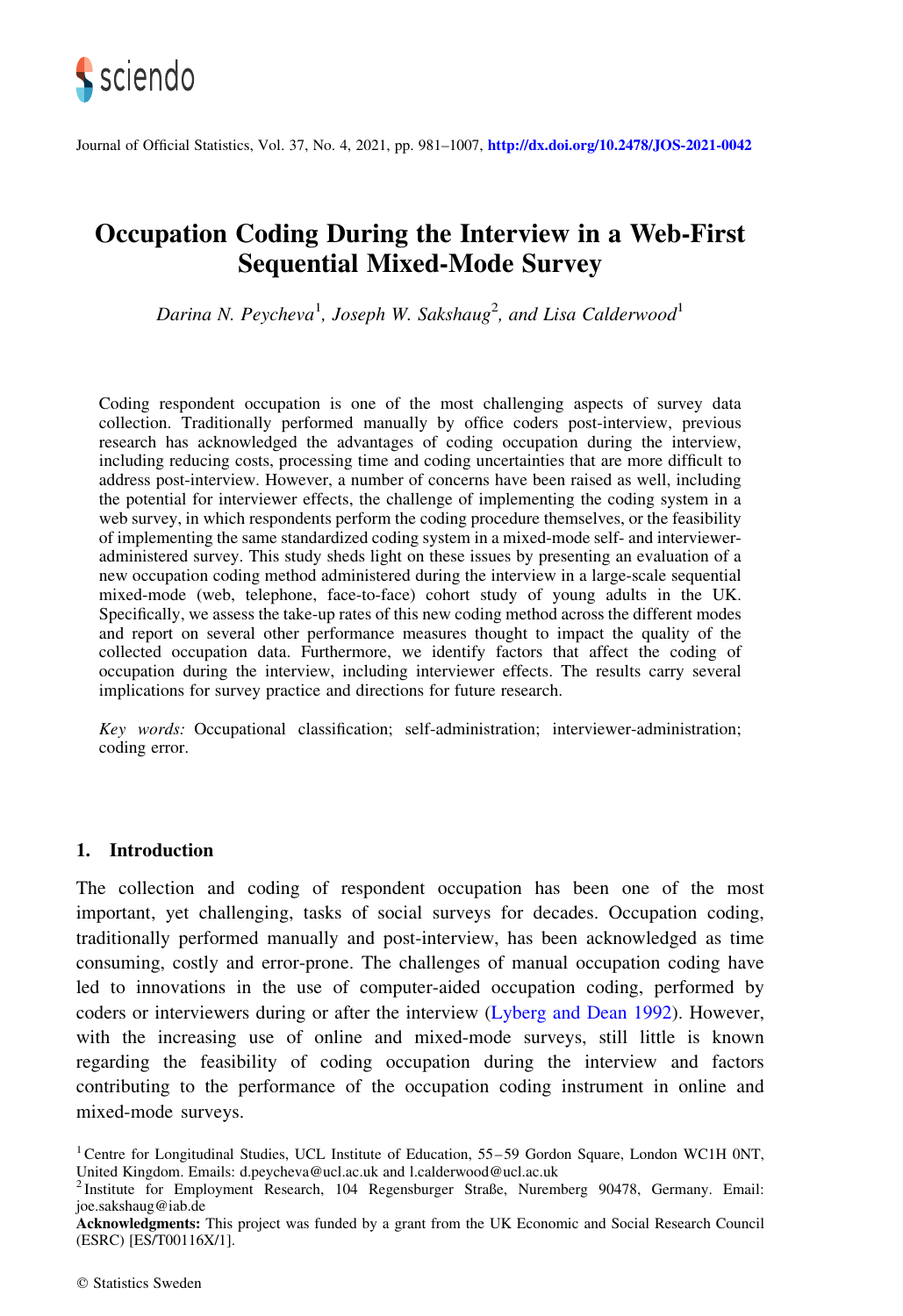

Journal of Official Statistics, Vol. 37, No. 4, 2021, pp. 981–1007, <http://dx.doi.org/10.2478/JOS-2021-0042>

# Occupation Coding During the Interview in a Web-First Sequential Mixed-Mode Survey

Darina N. Peycheva<sup>1</sup>, Joseph W. Sakshaug<sup>2</sup>, and Lisa Calderwood<sup>1</sup>

Coding respondent occupation is one of the most challenging aspects of survey data collection. Traditionally performed manually by office coders post-interview, previous research has acknowledged the advantages of coding occupation during the interview, including reducing costs, processing time and coding uncertainties that are more difficult to address post-interview. However, a number of concerns have been raised as well, including the potential for interviewer effects, the challenge of implementing the coding system in a web survey, in which respondents perform the coding procedure themselves, or the feasibility of implementing the same standardized coding system in a mixed-mode self- and intervieweradministered survey. This study sheds light on these issues by presenting an evaluation of a new occupation coding method administered during the interview in a large-scale sequential mixed-mode (web, telephone, face-to-face) cohort study of young adults in the UK. Specifically, we assess the take-up rates of this new coding method across the different modes and report on several other performance measures thought to impact the quality of the collected occupation data. Furthermore, we identify factors that affect the coding of occupation during the interview, including interviewer effects. The results carry several implications for survey practice and directions for future research.

Key words: Occupational classification; self-administration; interviewer-administration; coding error.

# 1. Introduction

The collection and coding of respondent occupation has been one of the most important, yet challenging, tasks of social surveys for decades. Occupation coding, traditionally performed manually and post-interview, has been acknowledged as time consuming, costly and error-prone. The challenges of manual occupation coding have led to innovations in the use of computer-aided occupation coding, performed by coders or interviewers during or after the interview ([Lyberg and Dean 1992](#page-24-0)). However, with the increasing use of online and mixed-mode surveys, still little is known regarding the feasibility of coding occupation during the interview and factors contributing to the performance of the occupation coding instrument in online and mixed-mode surveys.

<sup>&</sup>lt;sup>1</sup> Centre for Longitudinal Studies, UCL Institute of Education, 55–59 Gordon Square, London WC1H 0NT, United Kingdom. Emails: d.peycheva@ucl.ac.uk and l.calderwood@ucl.ac.uk

<sup>2</sup> Institute for Employment Research, 104 Regensburger Straße, Nuremberg 90478, Germany. Email: joe.sakshaug@iab.de

Acknowledgments: This project was funded by a grant from the UK Economic and Social Research Council (ESRC) [ES/T00116X/1].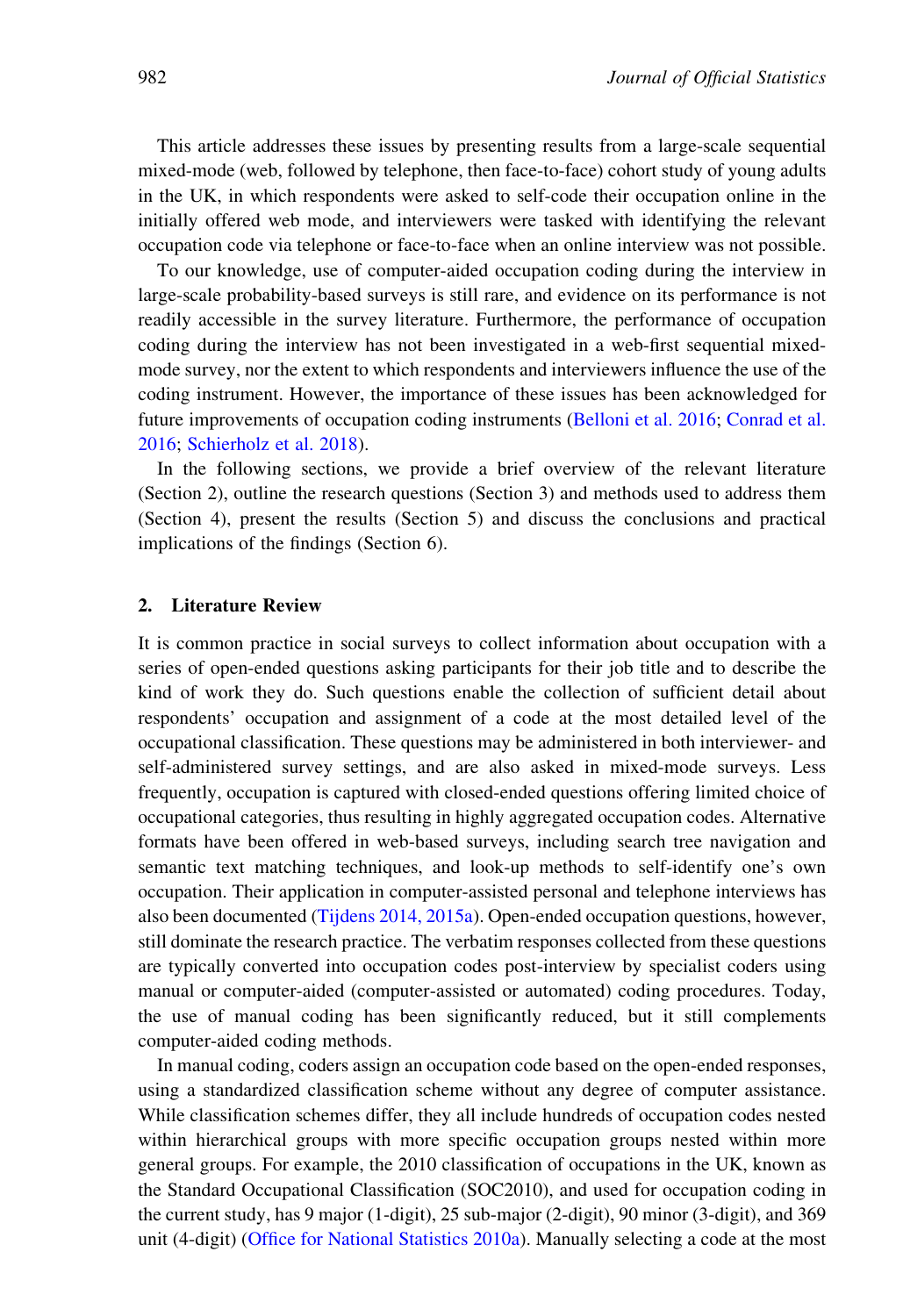This article addresses these issues by presenting results from a large-scale sequential mixed-mode (web, followed by telephone, then face-to-face) cohort study of young adults in the UK, in which respondents were asked to self-code their occupation online in the initially offered web mode, and interviewers were tasked with identifying the relevant occupation code via telephone or face-to-face when an online interview was not possible.

To our knowledge, use of computer-aided occupation coding during the interview in large-scale probability-based surveys is still rare, and evidence on its performance is not readily accessible in the survey literature. Furthermore, the performance of occupation coding during the interview has not been investigated in a web-first sequential mixedmode survey, nor the extent to which respondents and interviewers influence the use of the coding instrument. However, the importance of these issues has been acknowledged for future improvements of occupation coding instruments ([Belloni et al. 2016](#page-23-0); [Conrad et al.](#page-24-0) [2016;](#page-24-0) [Schierholz et al. 2018\)](#page-25-0).

In the following sections, we provide a brief overview of the relevant literature (Section 2), outline the research questions (Section 3) and methods used to address them (Section 4), present the results (Section 5) and discuss the conclusions and practical implications of the findings (Section 6).

# 2. Literature Review

It is common practice in social surveys to collect information about occupation with a series of open-ended questions asking participants for their job title and to describe the kind of work they do. Such questions enable the collection of sufficient detail about respondents' occupation and assignment of a code at the most detailed level of the occupational classification. These questions may be administered in both interviewer- and self-administered survey settings, and are also asked in mixed-mode surveys. Less frequently, occupation is captured with closed-ended questions offering limited choice of occupational categories, thus resulting in highly aggregated occupation codes. Alternative formats have been offered in web-based surveys, including search tree navigation and semantic text matching techniques, and look-up methods to self-identify one's own occupation. Their application in computer-assisted personal and telephone interviews has also been documented [\(Tijdens 2014, 2015a\)](#page-25-0). Open-ended occupation questions, however, still dominate the research practice. The verbatim responses collected from these questions are typically converted into occupation codes post-interview by specialist coders using manual or computer-aided (computer-assisted or automated) coding procedures. Today, the use of manual coding has been significantly reduced, but it still complements computer-aided coding methods.

In manual coding, coders assign an occupation code based on the open-ended responses, using a standardized classification scheme without any degree of computer assistance. While classification schemes differ, they all include hundreds of occupation codes nested within hierarchical groups with more specific occupation groups nested within more general groups. For example, the 2010 classification of occupations in the UK, known as the Standard Occupational Classification (SOC2010), and used for occupation coding in the current study, has 9 major (1-digit), 25 sub-major (2-digit), 90 minor (3-digit), and 369 unit (4-digit) [\(Office for National Statistics 2010a\)](#page-25-0). Manually selecting a code at the most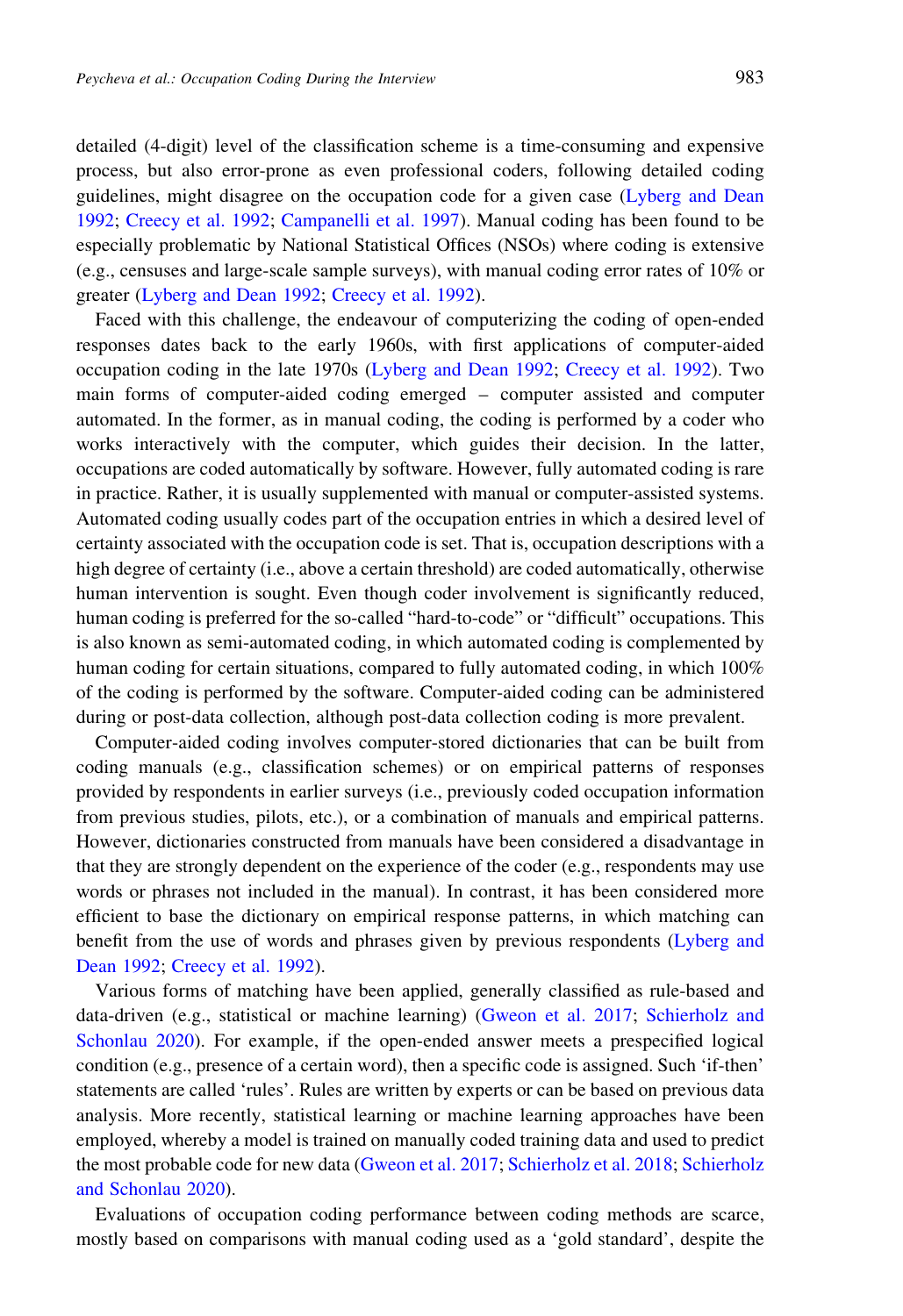detailed (4-digit) level of the classification scheme is a time-consuming and expensive process, but also error-prone as even professional coders, following detailed coding guidelines, might disagree on the occupation code for a given case [\(Lyberg and Dean](#page-24-0) [1992;](#page-24-0) [Creecy et al. 1992;](#page-24-0) [Campanelli et al. 1997\)](#page-23-0). Manual coding has been found to be especially problematic by National Statistical Offices (NSOs) where coding is extensive (e.g., censuses and large-scale sample surveys), with manual coding error rates of 10% or greater ([Lyberg and Dean 1992](#page-24-0); [Creecy et al. 1992](#page-24-0)).

Faced with this challenge, the endeavour of computerizing the coding of open-ended responses dates back to the early 1960s, with first applications of computer-aided occupation coding in the late 1970s ([Lyberg and Dean 1992;](#page-24-0) [Creecy et al. 1992\)](#page-24-0). Two main forms of computer-aided coding emerged – computer assisted and computer automated. In the former, as in manual coding, the coding is performed by a coder who works interactively with the computer, which guides their decision. In the latter, occupations are coded automatically by software. However, fully automated coding is rare in practice. Rather, it is usually supplemented with manual or computer-assisted systems. Automated coding usually codes part of the occupation entries in which a desired level of certainty associated with the occupation code is set. That is, occupation descriptions with a high degree of certainty (i.e., above a certain threshold) are coded automatically, otherwise human intervention is sought. Even though coder involvement is significantly reduced, human coding is preferred for the so-called "hard-to-code" or "difficult" occupations. This is also known as semi-automated coding, in which automated coding is complemented by human coding for certain situations, compared to fully automated coding, in which 100% of the coding is performed by the software. Computer-aided coding can be administered during or post-data collection, although post-data collection coding is more prevalent.

Computer-aided coding involves computer-stored dictionaries that can be built from coding manuals (e.g., classification schemes) or on empirical patterns of responses provided by respondents in earlier surveys (i.e., previously coded occupation information from previous studies, pilots, etc.), or a combination of manuals and empirical patterns. However, dictionaries constructed from manuals have been considered a disadvantage in that they are strongly dependent on the experience of the coder (e.g., respondents may use words or phrases not included in the manual). In contrast, it has been considered more efficient to base the dictionary on empirical response patterns, in which matching can benefit from the use of words and phrases given by previous respondents [\(Lyberg and](#page-24-0) [Dean 1992;](#page-24-0) [Creecy et al. 1992\)](#page-24-0).

Various forms of matching have been applied, generally classified as rule-based and data-driven (e.g., statistical or machine learning) [\(Gweon et al. 2017;](#page-24-0) [Schierholz and](#page-25-0) [Schonlau 2020](#page-25-0)). For example, if the open-ended answer meets a prespecified logical condition (e.g., presence of a certain word), then a specific code is assigned. Such 'if-then' statements are called 'rules'. Rules are written by experts or can be based on previous data analysis. More recently, statistical learning or machine learning approaches have been employed, whereby a model is trained on manually coded training data and used to predict the most probable code for new data ([Gweon et al. 2017;](#page-24-0) [Schierholz et al. 2018;](#page-25-0) [Schierholz](#page-25-0) [and Schonlau 2020](#page-25-0)).

Evaluations of occupation coding performance between coding methods are scarce, mostly based on comparisons with manual coding used as a 'gold standard', despite the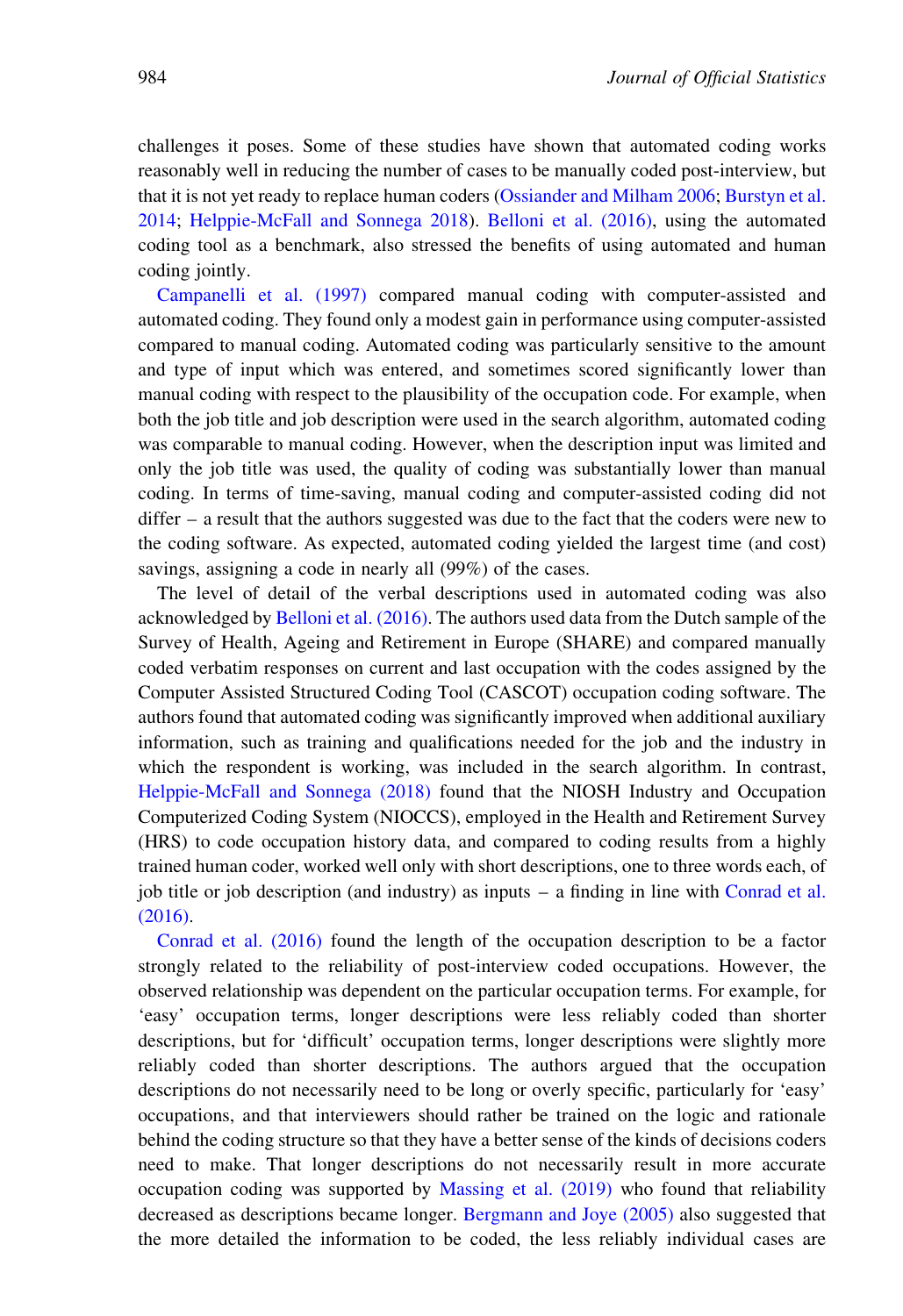challenges it poses. Some of these studies have shown that automated coding works reasonably well in reducing the number of cases to be manually coded post-interview, but that it is not yet ready to replace human coders ([Ossiander and Milham 2006;](#page-25-0) [Burstyn et al.](#page-23-0) [2014;](#page-23-0) [Helppie-McFall and Sonnega 2018](#page-24-0)). [Belloni et al. \(2016\),](#page-23-0) using the automated coding tool as a benchmark, also stressed the benefits of using automated and human coding jointly.

[Campanelli et al. \(1997\)](#page-23-0) compared manual coding with computer-assisted and automated coding. They found only a modest gain in performance using computer-assisted compared to manual coding. Automated coding was particularly sensitive to the amount and type of input which was entered, and sometimes scored significantly lower than manual coding with respect to the plausibility of the occupation code. For example, when both the job title and job description were used in the search algorithm, automated coding was comparable to manual coding. However, when the description input was limited and only the job title was used, the quality of coding was substantially lower than manual coding. In terms of time-saving, manual coding and computer-assisted coding did not differ – a result that the authors suggested was due to the fact that the coders were new to the coding software. As expected, automated coding yielded the largest time (and cost) savings, assigning a code in nearly all (99%) of the cases.

The level of detail of the verbal descriptions used in automated coding was also acknowledged by [Belloni et al. \(2016\).](#page-23-0) The authors used data from the Dutch sample of the Survey of Health, Ageing and Retirement in Europe (SHARE) and compared manually coded verbatim responses on current and last occupation with the codes assigned by the Computer Assisted Structured Coding Tool (CASCOT) occupation coding software. The authors found that automated coding was significantly improved when additional auxiliary information, such as training and qualifications needed for the job and the industry in which the respondent is working, was included in the search algorithm. In contrast, [Helppie-McFall and Sonnega \(2018\)](#page-24-0) found that the NIOSH Industry and Occupation Computerized Coding System (NIOCCS), employed in the Health and Retirement Survey (HRS) to code occupation history data, and compared to coding results from a highly trained human coder, worked well only with short descriptions, one to three words each, of job title or job description (and industry) as inputs – a finding in line with [Conrad et al.](#page-24-0) [\(2016\).](#page-24-0)

[Conrad et al. \(2016\)](#page-24-0) found the length of the occupation description to be a factor strongly related to the reliability of post-interview coded occupations. However, the observed relationship was dependent on the particular occupation terms. For example, for 'easy' occupation terms, longer descriptions were less reliably coded than shorter descriptions, but for 'difficult' occupation terms, longer descriptions were slightly more reliably coded than shorter descriptions. The authors argued that the occupation descriptions do not necessarily need to be long or overly specific, particularly for 'easy' occupations, and that interviewers should rather be trained on the logic and rationale behind the coding structure so that they have a better sense of the kinds of decisions coders need to make. That longer descriptions do not necessarily result in more accurate occupation coding was supported by [Massing et al. \(2019\)](#page-25-0) who found that reliability decreased as descriptions became longer. [Bergmann and Joye \(2005\)](#page-23-0) also suggested that the more detailed the information to be coded, the less reliably individual cases are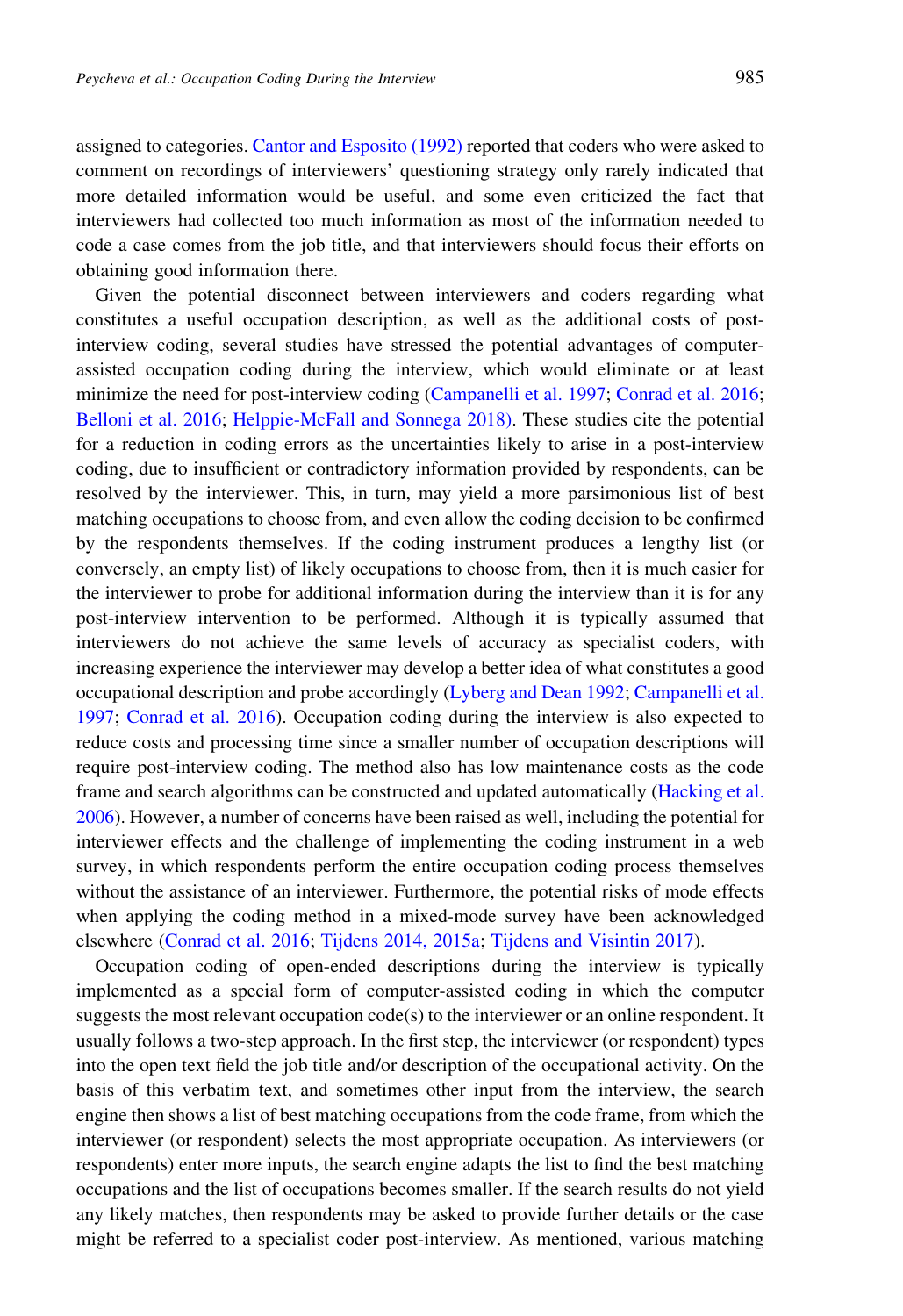assigned to categories. [Cantor and Esposito \(1992\)](#page-24-0) reported that coders who were asked to comment on recordings of interviewers' questioning strategy only rarely indicated that more detailed information would be useful, and some even criticized the fact that interviewers had collected too much information as most of the information needed to code a case comes from the job title, and that interviewers should focus their efforts on obtaining good information there.

Given the potential disconnect between interviewers and coders regarding what constitutes a useful occupation description, as well as the additional costs of postinterview coding, several studies have stressed the potential advantages of computerassisted occupation coding during the interview, which would eliminate or at least minimize the need for post-interview coding ([Campanelli et al. 1997;](#page-23-0) [Conrad et al. 2016;](#page-24-0) [Belloni et al. 2016](#page-23-0); [Helppie-McFall and Sonnega 2018\).](#page-24-0) These studies cite the potential for a reduction in coding errors as the uncertainties likely to arise in a post-interview coding, due to insufficient or contradictory information provided by respondents, can be resolved by the interviewer. This, in turn, may yield a more parsimonious list of best matching occupations to choose from, and even allow the coding decision to be confirmed by the respondents themselves. If the coding instrument produces a lengthy list (or conversely, an empty list) of likely occupations to choose from, then it is much easier for the interviewer to probe for additional information during the interview than it is for any post-interview intervention to be performed. Although it is typically assumed that interviewers do not achieve the same levels of accuracy as specialist coders, with increasing experience the interviewer may develop a better idea of what constitutes a good occupational description and probe accordingly [\(Lyberg and Dean 1992;](#page-24-0) [Campanelli et al.](#page-23-0) [1997;](#page-23-0) [Conrad et al. 2016\)](#page-24-0). Occupation coding during the interview is also expected to reduce costs and processing time since a smaller number of occupation descriptions will require post-interview coding. The method also has low maintenance costs as the code frame and search algorithms can be constructed and updated automatically ([Hacking et al.](#page-24-0) [2006\)](#page-24-0). However, a number of concerns have been raised as well, including the potential for interviewer effects and the challenge of implementing the coding instrument in a web survey, in which respondents perform the entire occupation coding process themselves without the assistance of an interviewer. Furthermore, the potential risks of mode effects when applying the coding method in a mixed-mode survey have been acknowledged elsewhere [\(Conrad et al. 2016](#page-24-0); [Tijdens 2014, 2015a](#page-25-0); [Tijdens and Visintin 2017\)](#page-25-0).

Occupation coding of open-ended descriptions during the interview is typically implemented as a special form of computer-assisted coding in which the computer suggests the most relevant occupation code(s) to the interviewer or an online respondent. It usually follows a two-step approach. In the first step, the interviewer (or respondent) types into the open text field the job title and/or description of the occupational activity. On the basis of this verbatim text, and sometimes other input from the interview, the search engine then shows a list of best matching occupations from the code frame, from which the interviewer (or respondent) selects the most appropriate occupation. As interviewers (or respondents) enter more inputs, the search engine adapts the list to find the best matching occupations and the list of occupations becomes smaller. If the search results do not yield any likely matches, then respondents may be asked to provide further details or the case might be referred to a specialist coder post-interview. As mentioned, various matching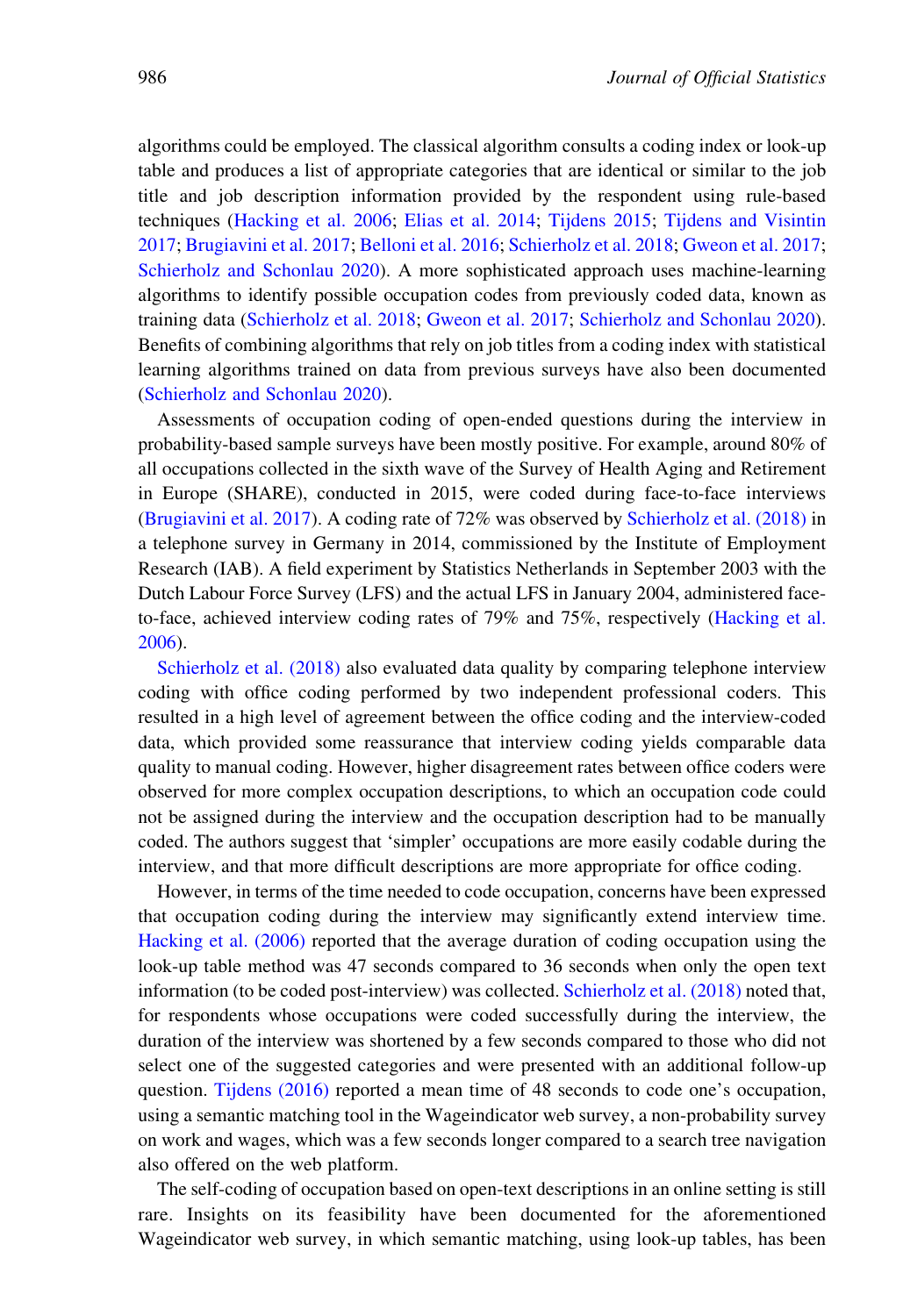algorithms could be employed. The classical algorithm consults a coding index or look-up table and produces a list of appropriate categories that are identical or similar to the job title and job description information provided by the respondent using rule-based techniques ([Hacking et al. 2006](#page-24-0); [Elias et al. 2014](#page-24-0); [Tijdens 2015;](#page-25-0) [Tijdens and Visintin](#page-25-0) [2017;](#page-25-0) [Brugiavini et al. 2017;](#page-23-0) [Belloni et al. 2016](#page-23-0); [Schierholz et al. 2018;](#page-25-0) [Gweon et al. 2017;](#page-24-0) [Schierholz and Schonlau 2020\)](#page-25-0). A more sophisticated approach uses machine-learning algorithms to identify possible occupation codes from previously coded data, known as training data ([Schierholz et al. 2018;](#page-25-0) [Gweon et al. 2017](#page-24-0); [Schierholz and Schonlau 2020\)](#page-25-0). Benefits of combining algorithms that rely on job titles from a coding index with statistical learning algorithms trained on data from previous surveys have also been documented [\(Schierholz and Schonlau 2020\)](#page-25-0).

Assessments of occupation coding of open-ended questions during the interview in probability-based sample surveys have been mostly positive. For example, around 80% of all occupations collected in the sixth wave of the Survey of Health Aging and Retirement in Europe (SHARE), conducted in 2015, were coded during face-to-face interviews [\(Brugiavini et al. 2017](#page-23-0)). A coding rate of 72% was observed by [Schierholz et al. \(2018\)](#page-25-0) in a telephone survey in Germany in 2014, commissioned by the Institute of Employment Research (IAB). A field experiment by Statistics Netherlands in September 2003 with the Dutch Labour Force Survey (LFS) and the actual LFS in January 2004, administered faceto-face, achieved interview coding rates of 79% and 75%, respectively [\(Hacking et al.](#page-24-0) [2006\)](#page-24-0).

[Schierholz et al. \(2018\)](#page-25-0) also evaluated data quality by comparing telephone interview coding with office coding performed by two independent professional coders. This resulted in a high level of agreement between the office coding and the interview-coded data, which provided some reassurance that interview coding yields comparable data quality to manual coding. However, higher disagreement rates between office coders were observed for more complex occupation descriptions, to which an occupation code could not be assigned during the interview and the occupation description had to be manually coded. The authors suggest that 'simpler' occupations are more easily codable during the interview, and that more difficult descriptions are more appropriate for office coding.

However, in terms of the time needed to code occupation, concerns have been expressed that occupation coding during the interview may significantly extend interview time. [Hacking et al. \(2006\)](#page-24-0) reported that the average duration of coding occupation using the look-up table method was 47 seconds compared to 36 seconds when only the open text information (to be coded post-interview) was collected. [Schierholz et al. \(2018\)](#page-25-0) noted that, for respondents whose occupations were coded successfully during the interview, the duration of the interview was shortened by a few seconds compared to those who did not select one of the suggested categories and were presented with an additional follow-up question. [Tijdens \(2016\)](#page-25-0) reported a mean time of 48 seconds to code one's occupation, using a semantic matching tool in the Wageindicator web survey, a non-probability survey on work and wages, which was a few seconds longer compared to a search tree navigation also offered on the web platform.

The self-coding of occupation based on open-text descriptions in an online setting is still rare. Insights on its feasibility have been documented for the aforementioned Wageindicator web survey, in which semantic matching, using look-up tables, has been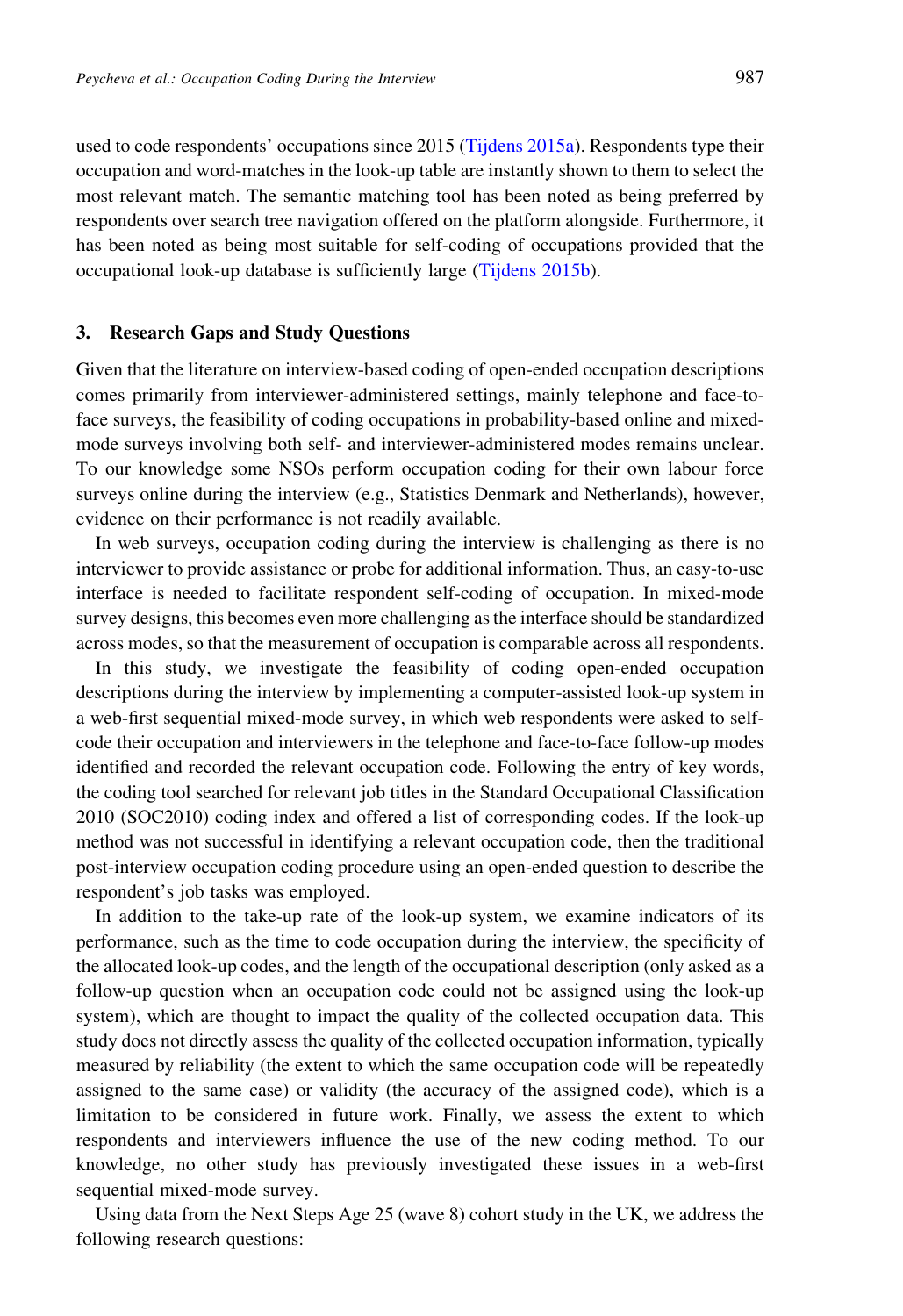used to code respondents' occupations since 2015 ([Tijdens 2015a](#page-25-0)). Respondents type their occupation and word-matches in the look-up table are instantly shown to them to select the most relevant match. The semantic matching tool has been noted as being preferred by respondents over search tree navigation offered on the platform alongside. Furthermore, it has been noted as being most suitable for self-coding of occupations provided that the occupational look-up database is sufficiently large ([Tijdens 2015b\)](#page-25-0).

#### 3. Research Gaps and Study Questions

Given that the literature on interview-based coding of open-ended occupation descriptions comes primarily from interviewer-administered settings, mainly telephone and face-toface surveys, the feasibility of coding occupations in probability-based online and mixedmode surveys involving both self- and interviewer-administered modes remains unclear. To our knowledge some NSOs perform occupation coding for their own labour force surveys online during the interview (e.g., Statistics Denmark and Netherlands), however, evidence on their performance is not readily available.

In web surveys, occupation coding during the interview is challenging as there is no interviewer to provide assistance or probe for additional information. Thus, an easy-to-use interface is needed to facilitate respondent self-coding of occupation. In mixed-mode survey designs, this becomes even more challenging as the interface should be standardized across modes, so that the measurement of occupation is comparable across all respondents.

In this study, we investigate the feasibility of coding open-ended occupation descriptions during the interview by implementing a computer-assisted look-up system in a web-first sequential mixed-mode survey, in which web respondents were asked to selfcode their occupation and interviewers in the telephone and face-to-face follow-up modes identified and recorded the relevant occupation code. Following the entry of key words, the coding tool searched for relevant job titles in the Standard Occupational Classification 2010 (SOC2010) coding index and offered a list of corresponding codes. If the look-up method was not successful in identifying a relevant occupation code, then the traditional post-interview occupation coding procedure using an open-ended question to describe the respondent's job tasks was employed.

In addition to the take-up rate of the look-up system, we examine indicators of its performance, such as the time to code occupation during the interview, the specificity of the allocated look-up codes, and the length of the occupational description (only asked as a follow-up question when an occupation code could not be assigned using the look-up system), which are thought to impact the quality of the collected occupation data. This study does not directly assess the quality of the collected occupation information, typically measured by reliability (the extent to which the same occupation code will be repeatedly assigned to the same case) or validity (the accuracy of the assigned code), which is a limitation to be considered in future work. Finally, we assess the extent to which respondents and interviewers influence the use of the new coding method. To our knowledge, no other study has previously investigated these issues in a web-first sequential mixed-mode survey.

Using data from the Next Steps Age 25 (wave 8) cohort study in the UK, we address the following research questions: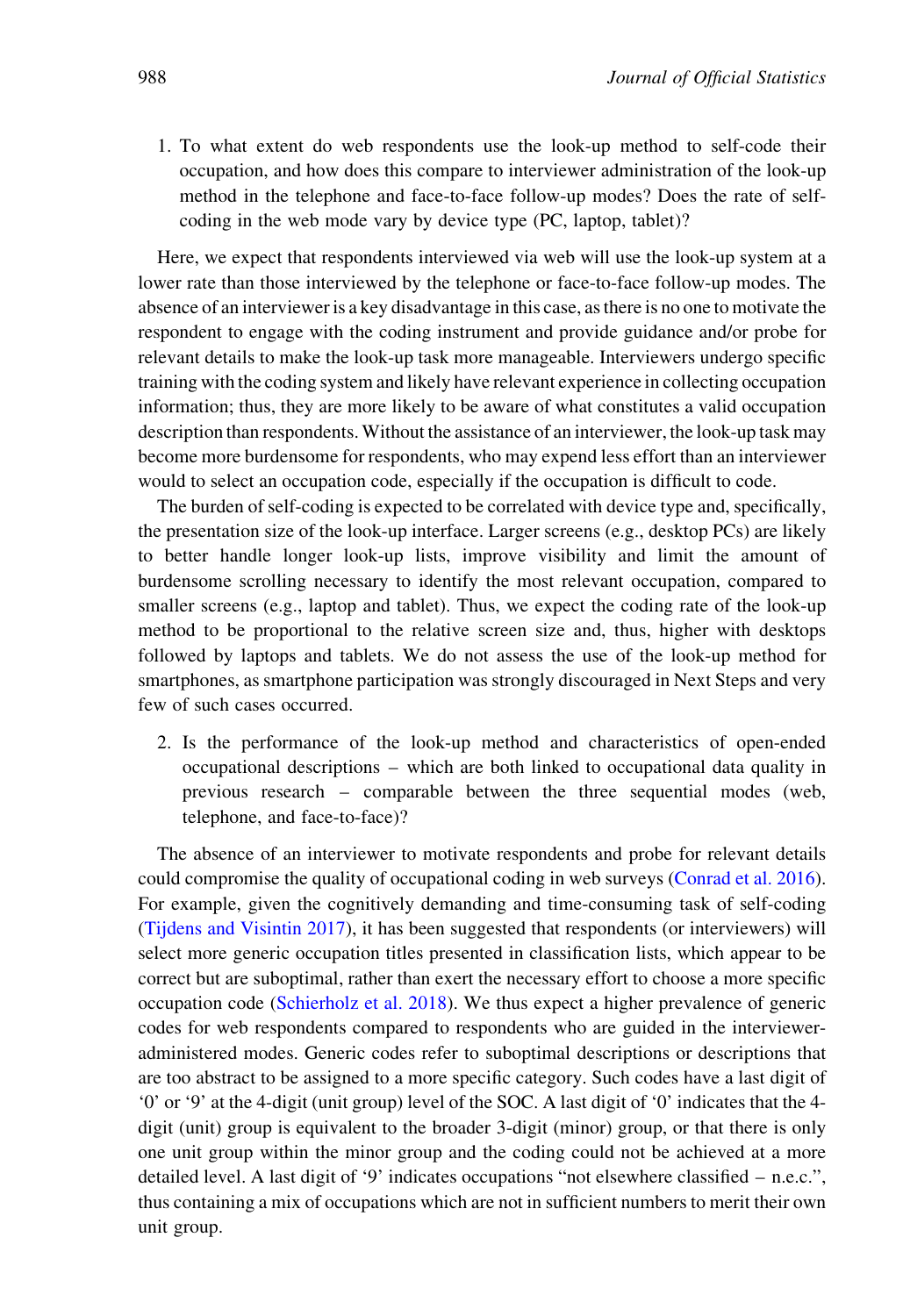1. To what extent do web respondents use the look-up method to self-code their occupation, and how does this compare to interviewer administration of the look-up method in the telephone and face-to-face follow-up modes? Does the rate of selfcoding in the web mode vary by device type (PC, laptop, tablet)?

Here, we expect that respondents interviewed via web will use the look-up system at a lower rate than those interviewed by the telephone or face-to-face follow-up modes. The absence of an interviewer is a key disadvantage in this case, as there is no one to motivate the respondent to engage with the coding instrument and provide guidance and/or probe for relevant details to make the look-up task more manageable. Interviewers undergo specific training with the coding system and likely have relevant experience in collecting occupation information; thus, they are more likely to be aware of what constitutes a valid occupation description than respondents. Without the assistance of an interviewer, the look-up task may become more burdensome for respondents, who may expend less effort than an interviewer would to select an occupation code, especially if the occupation is difficult to code.

The burden of self-coding is expected to be correlated with device type and, specifically, the presentation size of the look-up interface. Larger screens (e.g., desktop PCs) are likely to better handle longer look-up lists, improve visibility and limit the amount of burdensome scrolling necessary to identify the most relevant occupation, compared to smaller screens (e.g., laptop and tablet). Thus, we expect the coding rate of the look-up method to be proportional to the relative screen size and, thus, higher with desktops followed by laptops and tablets. We do not assess the use of the look-up method for smartphones, as smartphone participation was strongly discouraged in Next Steps and very few of such cases occurred.

2. Is the performance of the look-up method and characteristics of open-ended occupational descriptions – which are both linked to occupational data quality in previous research – comparable between the three sequential modes (web, telephone, and face-to-face)?

The absence of an interviewer to motivate respondents and probe for relevant details could compromise the quality of occupational coding in web surveys [\(Conrad et al. 2016\)](#page-24-0). For example, given the cognitively demanding and time-consuming task of self-coding [\(Tijdens and Visintin 2017](#page-25-0)), it has been suggested that respondents (or interviewers) will select more generic occupation titles presented in classification lists, which appear to be correct but are suboptimal, rather than exert the necessary effort to choose a more specific occupation code [\(Schierholz et al. 2018\)](#page-25-0). We thus expect a higher prevalence of generic codes for web respondents compared to respondents who are guided in the intervieweradministered modes. Generic codes refer to suboptimal descriptions or descriptions that are too abstract to be assigned to a more specific category. Such codes have a last digit of '0' or '9' at the 4-digit (unit group) level of the SOC. A last digit of '0' indicates that the 4 digit (unit) group is equivalent to the broader 3-digit (minor) group, or that there is only one unit group within the minor group and the coding could not be achieved at a more detailed level. A last digit of '9' indicates occupations "not elsewhere classified – n.e.c.", thus containing a mix of occupations which are not in sufficient numbers to merit their own unit group.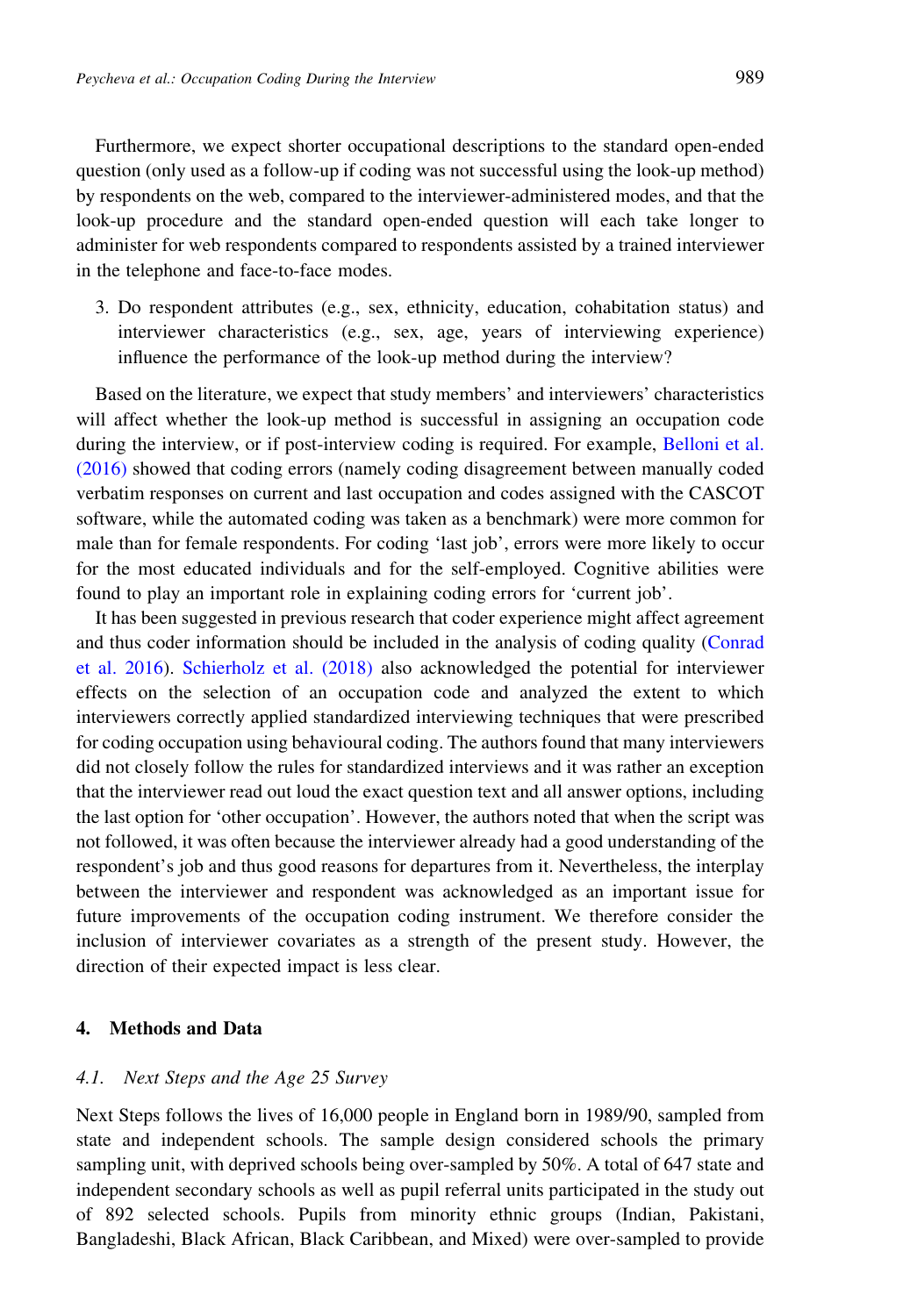Furthermore, we expect shorter occupational descriptions to the standard open-ended question (only used as a follow-up if coding was not successful using the look-up method) by respondents on the web, compared to the interviewer-administered modes, and that the look-up procedure and the standard open-ended question will each take longer to administer for web respondents compared to respondents assisted by a trained interviewer in the telephone and face-to-face modes.

3. Do respondent attributes (e.g., sex, ethnicity, education, cohabitation status) and interviewer characteristics (e.g., sex, age, years of interviewing experience) influence the performance of the look-up method during the interview?

Based on the literature, we expect that study members' and interviewers' characteristics will affect whether the look-up method is successful in assigning an occupation code during the interview, or if post-interview coding is required. For example, [Belloni et al.](#page-23-0) [\(2016\)](#page-23-0) showed that coding errors (namely coding disagreement between manually coded verbatim responses on current and last occupation and codes assigned with the CASCOT software, while the automated coding was taken as a benchmark) were more common for male than for female respondents. For coding 'last job', errors were more likely to occur for the most educated individuals and for the self-employed. Cognitive abilities were found to play an important role in explaining coding errors for 'current job'.

It has been suggested in previous research that coder experience might affect agreement and thus coder information should be included in the analysis of coding quality ([Conrad](#page-24-0) [et al. 2016](#page-24-0)). [Schierholz et al. \(2018\)](#page-25-0) also acknowledged the potential for interviewer effects on the selection of an occupation code and analyzed the extent to which interviewers correctly applied standardized interviewing techniques that were prescribed for coding occupation using behavioural coding. The authors found that many interviewers did not closely follow the rules for standardized interviews and it was rather an exception that the interviewer read out loud the exact question text and all answer options, including the last option for 'other occupation'. However, the authors noted that when the script was not followed, it was often because the interviewer already had a good understanding of the respondent's job and thus good reasons for departures from it. Nevertheless, the interplay between the interviewer and respondent was acknowledged as an important issue for future improvements of the occupation coding instrument. We therefore consider the inclusion of interviewer covariates as a strength of the present study. However, the direction of their expected impact is less clear.

# 4. Methods and Data

### 4.1. Next Steps and the Age 25 Survey

Next Steps follows the lives of 16,000 people in England born in 1989/90, sampled from state and independent schools. The sample design considered schools the primary sampling unit, with deprived schools being over-sampled by 50%. A total of 647 state and independent secondary schools as well as pupil referral units participated in the study out of 892 selected schools. Pupils from minority ethnic groups (Indian, Pakistani, Bangladeshi, Black African, Black Caribbean, and Mixed) were over-sampled to provide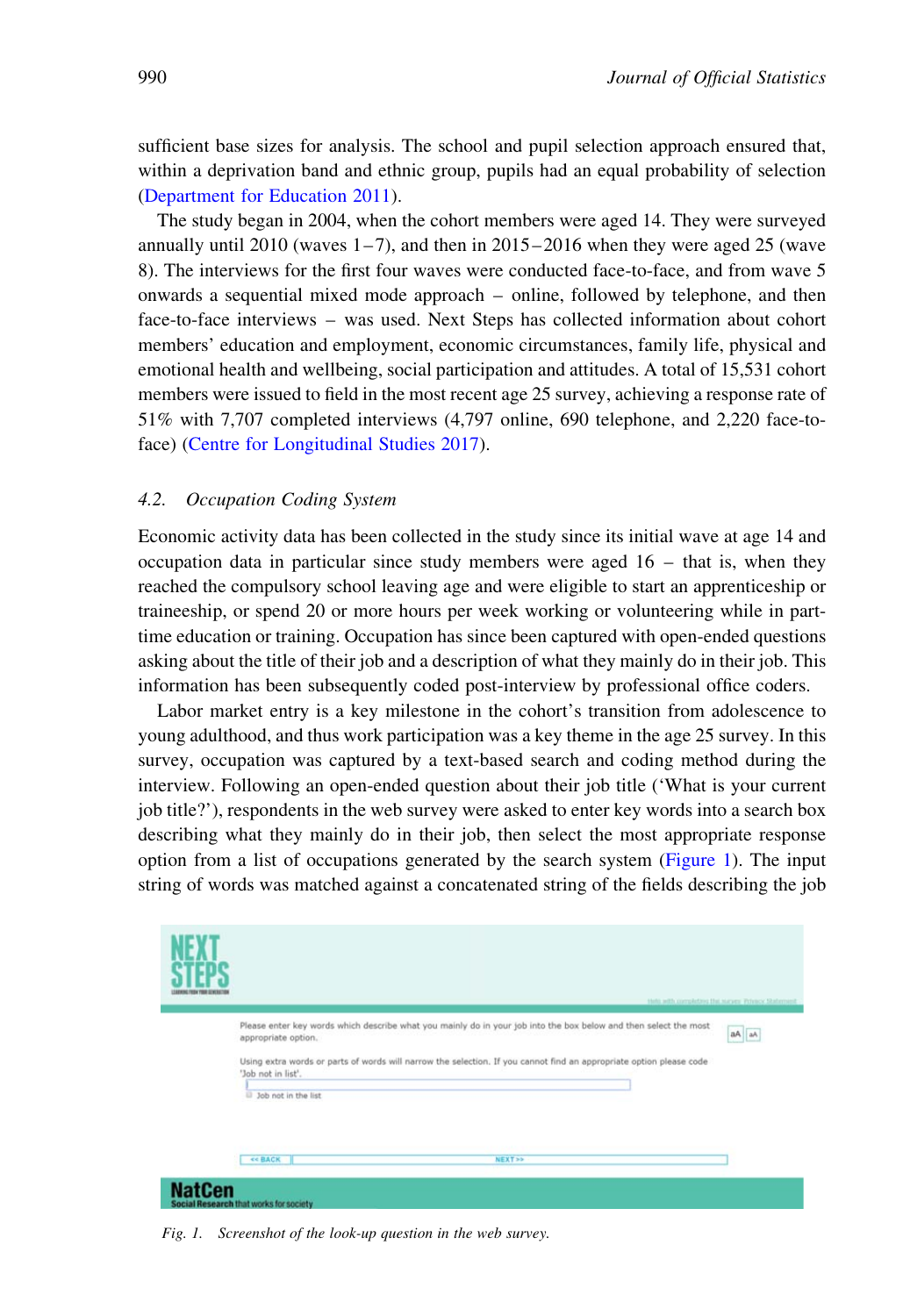sufficient base sizes for analysis. The school and pupil selection approach ensured that, within a deprivation band and ethnic group, pupils had an equal probability of selection [\(Department for Education 2011\)](#page-24-0).

The study began in 2004, when the cohort members were aged 14. They were surveyed annually until  $2010$  (waves  $1-7$ ), and then in  $2015-2016$  when they were aged 25 (wave 8). The interviews for the first four waves were conducted face-to-face, and from wave 5 onwards a sequential mixed mode approach – online, followed by telephone, and then face-to-face interviews – was used. Next Steps has collected information about cohort members' education and employment, economic circumstances, family life, physical and emotional health and wellbeing, social participation and attitudes. A total of 15,531 cohort members were issued to field in the most recent age 25 survey, achieving a response rate of 51% with 7,707 completed interviews (4,797 online, 690 telephone, and 2,220 face-toface) [\(Centre for Longitudinal Studies 2017\)](#page-24-0).

## 4.2. Occupation Coding System

Economic activity data has been collected in the study since its initial wave at age 14 and occupation data in particular since study members were aged  $16 -$  that is, when they reached the compulsory school leaving age and were eligible to start an apprenticeship or traineeship, or spend 20 or more hours per week working or volunteering while in parttime education or training. Occupation has since been captured with open-ended questions asking about the title of their job and a description of what they mainly do in their job. This information has been subsequently coded post-interview by professional office coders.

Labor market entry is a key milestone in the cohort's transition from adolescence to young adulthood, and thus work participation was a key theme in the age 25 survey. In this survey, occupation was captured by a text-based search and coding method during the interview. Following an open-ended question about their job title ('What is your current job title?'), respondents in the web survey were asked to enter key words into a search box describing what they mainly do in their job, then select the most appropriate response option from a list of occupations generated by the search system (Figure 1). The input string of words was matched against a concatenated string of the fields describing the job

| the room common |                                                                  |                                                                                                                                                                                                                                                                                               |       |
|-----------------|------------------------------------------------------------------|-----------------------------------------------------------------------------------------------------------------------------------------------------------------------------------------------------------------------------------------------------------------------------------------------|-------|
|                 | appropriate option.<br>'Job not in list'.<br>3ob not in the list | thin with completive the narver. Privacy Shifamest<br>Please enter key words which describe what you mainly do in your job into the box below and then select the most<br>Using extra words or parts of words will narrow the selection. If you cannot find an appropriate option please code | aA aA |
|                 | << BACK                                                          | <b>NEXT&gt;&gt;</b>                                                                                                                                                                                                                                                                           |       |

Fig. 1. Screenshot of the look-up question in the web survey.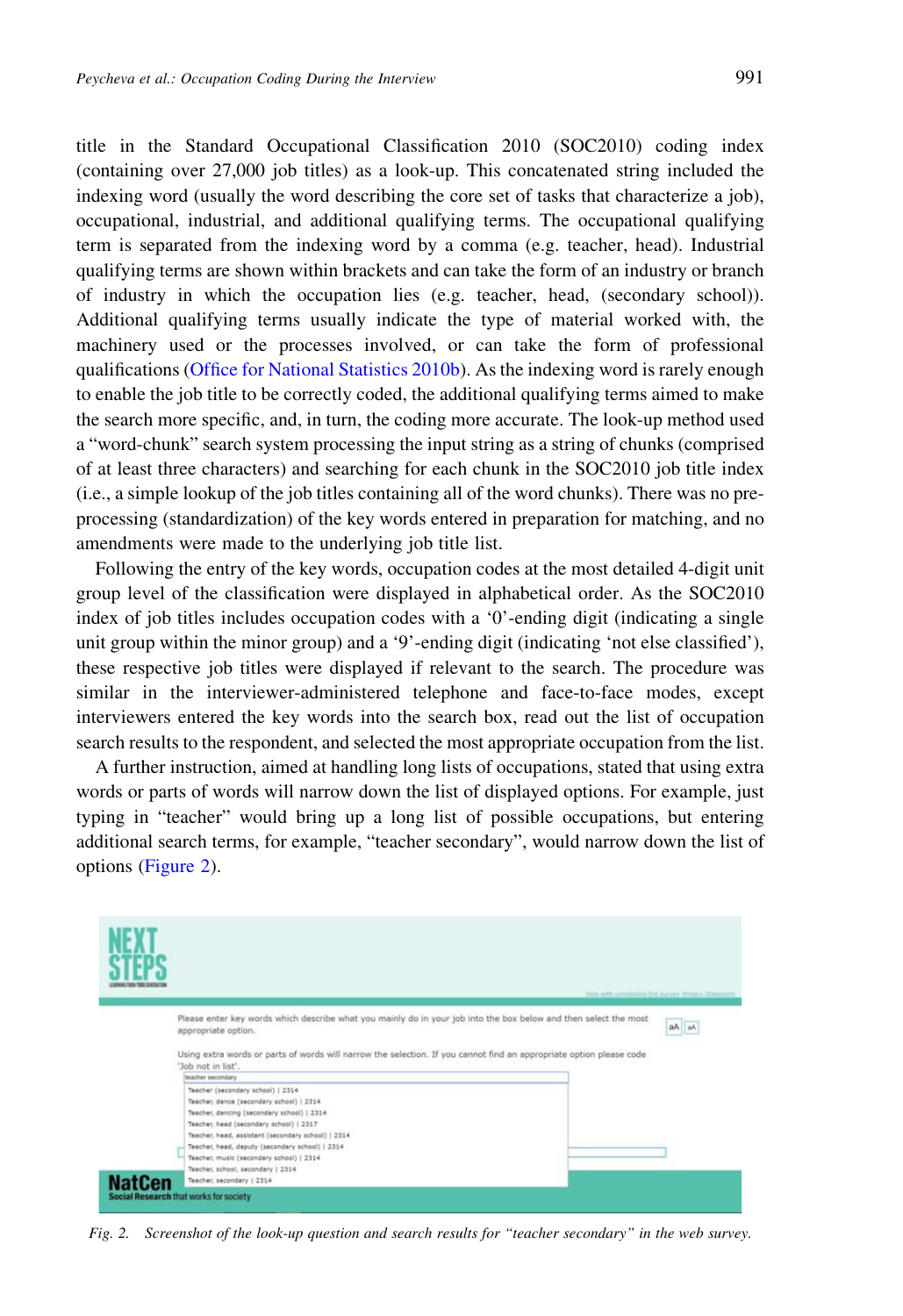title in the Standard Occupational Classification 2010 (SOC2010) coding index (containing over 27,000 job titles) as a look-up. This concatenated string included the indexing word (usually the word describing the core set of tasks that characterize a job), occupational, industrial, and additional qualifying terms. The occupational qualifying term is separated from the indexing word by a comma (e.g. teacher, head). Industrial qualifying terms are shown within brackets and can take the form of an industry or branch of industry in which the occupation lies (e.g. teacher, head, (secondary school)). Additional qualifying terms usually indicate the type of material worked with, the machinery used or the processes involved, or can take the form of professional qualifications [\(Office for National Statistics 2010b\)](#page-25-0). As the indexing word is rarely enough to enable the job title to be correctly coded, the additional qualifying terms aimed to make the search more specific, and, in turn, the coding more accurate. The look-up method used a "word-chunk" search system processing the input string as a string of chunks (comprised of at least three characters) and searching for each chunk in the SOC2010 job title index (i.e., a simple lookup of the job titles containing all of the word chunks). There was no preprocessing (standardization) of the key words entered in preparation for matching, and no amendments were made to the underlying job title list.

Following the entry of the key words, occupation codes at the most detailed 4-digit unit group level of the classification were displayed in alphabetical order. As the SOC2010 index of job titles includes occupation codes with a '0'-ending digit (indicating a single unit group within the minor group) and a '9'-ending digit (indicating 'not else classified'), these respective job titles were displayed if relevant to the search. The procedure was similar in the interviewer-administered telephone and face-to-face modes, except interviewers entered the key words into the search box, read out the list of occupation search results to the respondent, and selected the most appropriate occupation from the list.

A further instruction, aimed at handling long lists of occupations, stated that using extra words or parts of words will narrow down the list of displayed options. For example, just typing in "teacher" would bring up a long list of possible occupations, but entering additional search terms, for example, "teacher secondary", would narrow down the list of options (Figure 2).



Fig. 2. Screenshot of the look-up question and search results for "teacher secondary" in the web survey.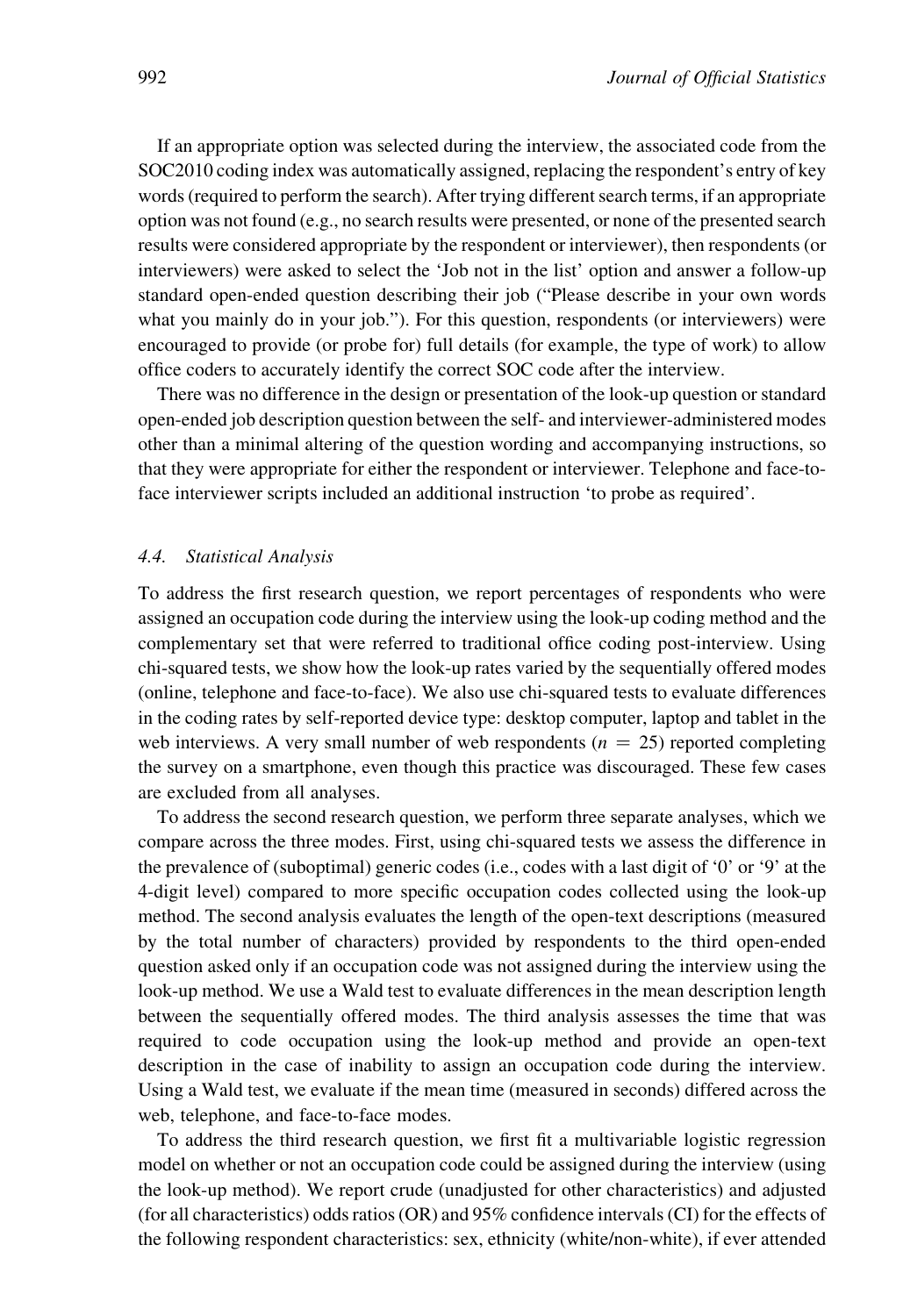If an appropriate option was selected during the interview, the associated code from the SOC2010 coding index was automatically assigned, replacing the respondent's entry of key words (required to perform the search). After trying different search terms, if an appropriate option was not found (e.g., no search results were presented, or none of the presented search results were considered appropriate by the respondent or interviewer), then respondents (or interviewers) were asked to select the 'Job not in the list' option and answer a follow-up standard open-ended question describing their job ("Please describe in your own words what you mainly do in your job."). For this question, respondents (or interviewers) were encouraged to provide (or probe for) full details (for example, the type of work) to allow office coders to accurately identify the correct SOC code after the interview.

There was no difference in the design or presentation of the look-up question or standard open-ended job description question between the self- and interviewer-administered modes other than a minimal altering of the question wording and accompanying instructions, so that they were appropriate for either the respondent or interviewer. Telephone and face-toface interviewer scripts included an additional instruction 'to probe as required'.

#### 4.4. Statistical Analysis

To address the first research question, we report percentages of respondents who were assigned an occupation code during the interview using the look-up coding method and the complementary set that were referred to traditional office coding post-interview. Using chi-squared tests, we show how the look-up rates varied by the sequentially offered modes (online, telephone and face-to-face). We also use chi-squared tests to evaluate differences in the coding rates by self-reported device type: desktop computer, laptop and tablet in the web interviews. A very small number of web respondents ( $n = 25$ ) reported completing the survey on a smartphone, even though this practice was discouraged. These few cases are excluded from all analyses.

To address the second research question, we perform three separate analyses, which we compare across the three modes. First, using chi-squared tests we assess the difference in the prevalence of (suboptimal) generic codes (i.e., codes with a last digit of '0' or '9' at the 4-digit level) compared to more specific occupation codes collected using the look-up method. The second analysis evaluates the length of the open-text descriptions (measured by the total number of characters) provided by respondents to the third open-ended question asked only if an occupation code was not assigned during the interview using the look-up method. We use a Wald test to evaluate differences in the mean description length between the sequentially offered modes. The third analysis assesses the time that was required to code occupation using the look-up method and provide an open-text description in the case of inability to assign an occupation code during the interview. Using a Wald test, we evaluate if the mean time (measured in seconds) differed across the web, telephone, and face-to-face modes.

To address the third research question, we first fit a multivariable logistic regression model on whether or not an occupation code could be assigned during the interview (using the look-up method). We report crude (unadjusted for other characteristics) and adjusted (for all characteristics) odds ratios (OR) and 95% confidence intervals (CI) for the effects of the following respondent characteristics: sex, ethnicity (white/non-white), if ever attended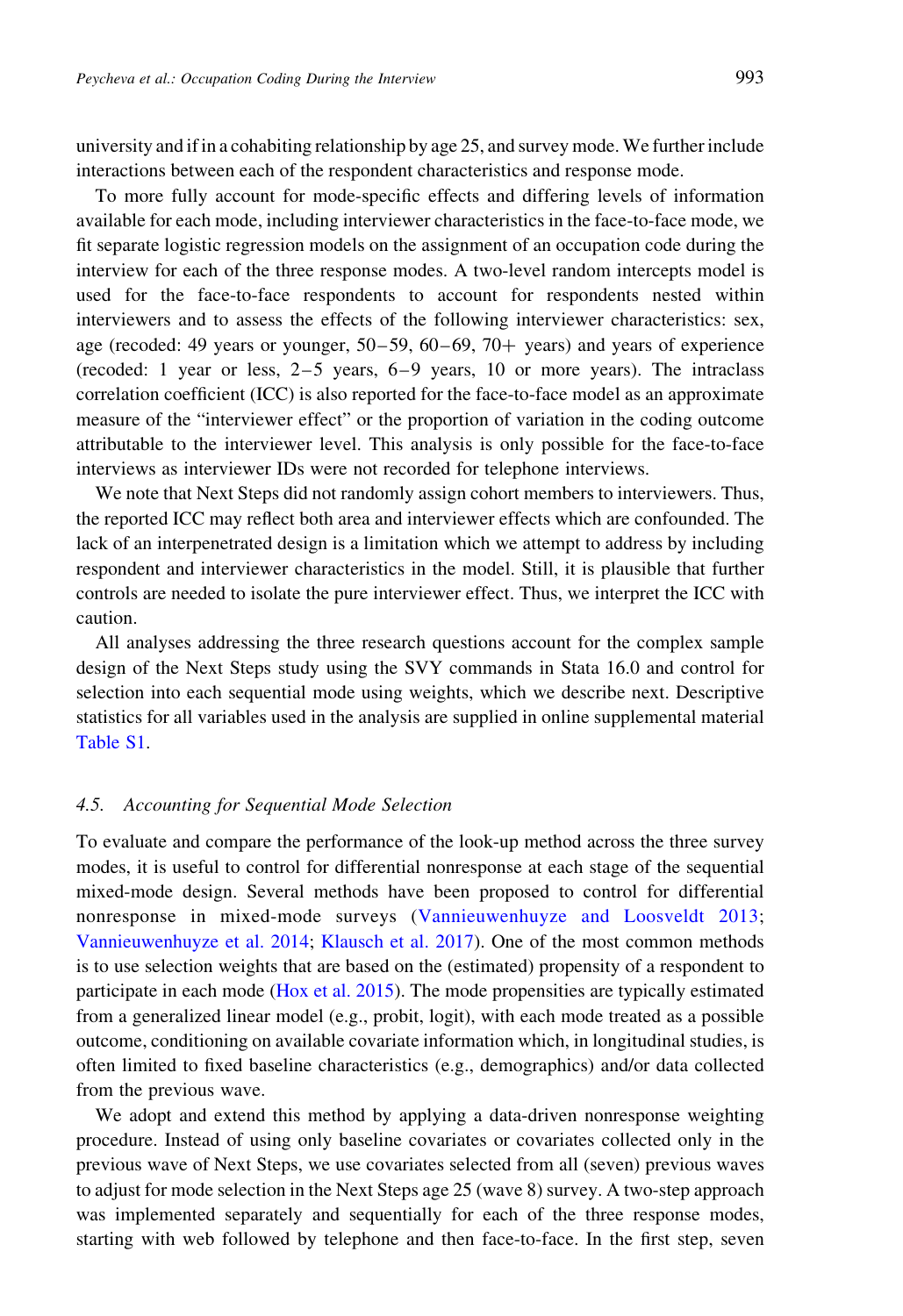university and if in a cohabiting relationship by age 25, and survey mode. We further include interactions between each of the respondent characteristics and response mode.

To more fully account for mode-specific effects and differing levels of information available for each mode, including interviewer characteristics in the face-to-face mode, we fit separate logistic regression models on the assignment of an occupation code during the interview for each of the three response modes. A two-level random intercepts model is used for the face-to-face respondents to account for respondents nested within interviewers and to assess the effects of the following interviewer characteristics: sex, age (recoded: 49 years or younger,  $50-59$ ,  $60-69$ ,  $70+$  years) and years of experience (recoded: 1 year or less, 2–5 years, 6–9 years, 10 or more years). The intraclass correlation coefficient (ICC) is also reported for the face-to-face model as an approximate measure of the "interviewer effect" or the proportion of variation in the coding outcome attributable to the interviewer level. This analysis is only possible for the face-to-face interviews as interviewer IDs were not recorded for telephone interviews.

We note that Next Steps did not randomly assign cohort members to interviewers. Thus, the reported ICC may reflect both area and interviewer effects which are confounded. The lack of an interpenetrated design is a limitation which we attempt to address by including respondent and interviewer characteristics in the model. Still, it is plausible that further controls are needed to isolate the pure interviewer effect. Thus, we interpret the ICC with caution.

All analyses addressing the three research questions account for the complex sample design of the Next Steps study using the SVY commands in Stata 16.0 and control for selection into each sequential mode using weights, which we describe next. Descriptive statistics for all variables used in the analysis are supplied in online supplemental material [Table S1](#page-13-0).

#### 4.5. Accounting for Sequential Mode Selection

To evaluate and compare the performance of the look-up method across the three survey modes, it is useful to control for differential nonresponse at each stage of the sequential mixed-mode design. Several methods have been proposed to control for differential nonresponse in mixed-mode surveys ([Vannieuwenhuyze and Loosveldt 2013](#page-26-0); [Vannieuwenhuyze et al. 2014](#page-26-0); [Klausch et al. 2017\)](#page-24-0). One of the most common methods is to use selection weights that are based on the (estimated) propensity of a respondent to participate in each mode ([Hox et al. 2015\)](#page-24-0). The mode propensities are typically estimated from a generalized linear model (e.g., probit, logit), with each mode treated as a possible outcome, conditioning on available covariate information which, in longitudinal studies, is often limited to fixed baseline characteristics (e.g., demographics) and/or data collected from the previous wave.

We adopt and extend this method by applying a data-driven nonresponse weighting procedure. Instead of using only baseline covariates or covariates collected only in the previous wave of Next Steps, we use covariates selected from all (seven) previous waves to adjust for mode selection in the Next Steps age 25 (wave 8) survey. A two-step approach was implemented separately and sequentially for each of the three response modes, starting with web followed by telephone and then face-to-face. In the first step, seven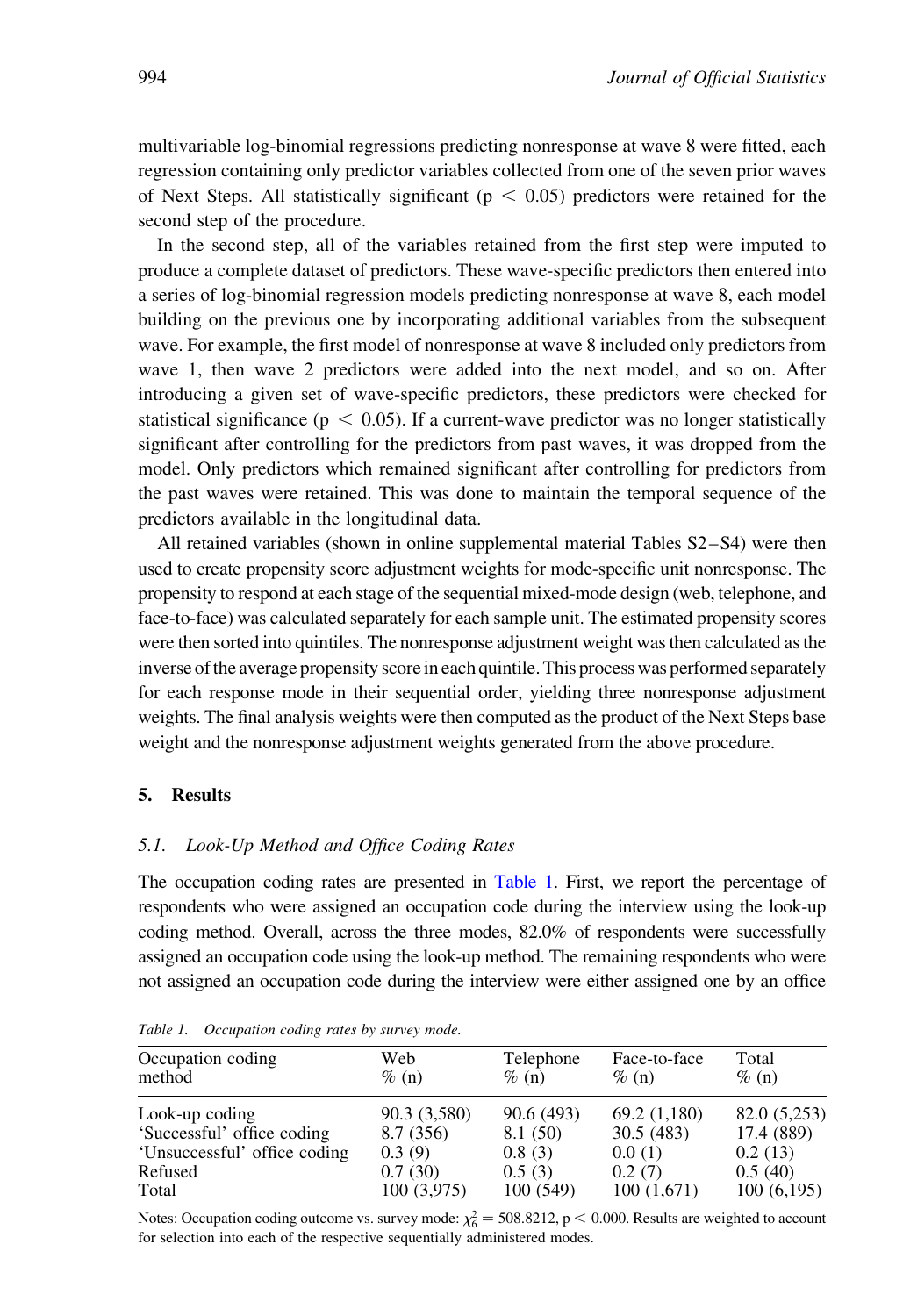<span id="page-13-0"></span>multivariable log-binomial regressions predicting nonresponse at wave 8 were fitted, each regression containing only predictor variables collected from one of the seven prior waves of Next Steps. All statistically significant ( $p < 0.05$ ) predictors were retained for the second step of the procedure.

In the second step, all of the variables retained from the first step were imputed to produce a complete dataset of predictors. These wave-specific predictors then entered into a series of log-binomial regression models predicting nonresponse at wave 8, each model building on the previous one by incorporating additional variables from the subsequent wave. For example, the first model of nonresponse at wave 8 included only predictors from wave 1, then wave 2 predictors were added into the next model, and so on. After introducing a given set of wave-specific predictors, these predictors were checked for statistical significance ( $p < 0.05$ ). If a current-wave predictor was no longer statistically significant after controlling for the predictors from past waves, it was dropped from the model. Only predictors which remained significant after controlling for predictors from the past waves were retained. This was done to maintain the temporal sequence of the predictors available in the longitudinal data.

All retained variables (shown in online supplemental material Tables S2–S4) were then used to create propensity score adjustment weights for mode-specific unit nonresponse. The propensity to respond at each stage of the sequential mixed-mode design (web, telephone, and face-to-face) was calculated separately for each sample unit. The estimated propensity scores were then sorted into quintiles. The nonresponse adjustment weight was then calculated as the inverse of the average propensity score in each quintile. This process was performed separately for each response mode in their sequential order, yielding three nonresponse adjustment weights. The final analysis weights were then computed as the product of the Next Steps base weight and the nonresponse adjustment weights generated from the above procedure.

# 5. Results

#### 5.1. Look-Up Method and Office Coding Rates

The occupation coding rates are presented in Table 1. First, we report the percentage of respondents who were assigned an occupation code during the interview using the look-up coding method. Overall, across the three modes, 82.0% of respondents were successfully assigned an occupation code using the look-up method. The remaining respondents who were not assigned an occupation code during the interview were either assigned one by an office

| Occupation coding            | Web          | Telephone | Face-to-face | Total        |
|------------------------------|--------------|-----------|--------------|--------------|
| method                       | $\%$ (n)     | $\%$ (n)  | $\%$ (n)     | $\%$ (n)     |
| Look-up coding               | 90.3 (3,580) | 90.6(493) | 69.2 (1,180) | 82.0 (5,253) |
| 'Successful' office coding   | 8.7(356)     | 8.1 (50)  | 30.5(483)    | 17.4 (889)   |
| 'Unsuccessful' office coding | 0.3(9)       | 0.8(3)    | 0.0(1)       | 0.2(13)      |
| Refused                      | 0.7(30)      | 0.5(3)    | 0.2(7)       | 0.5(40)      |
| Total                        | 100(3,975)   | 100(549)  | 100(1,671)   | 100(6,195)   |

Table 1. Occupation coding rates by survey mode.

Notes: Occupation coding outcome vs. survey mode:  $\chi_6^2 = 508.8212$ , p < 0.000. Results are weighted to account for selection into each of the respective sequentially administered modes.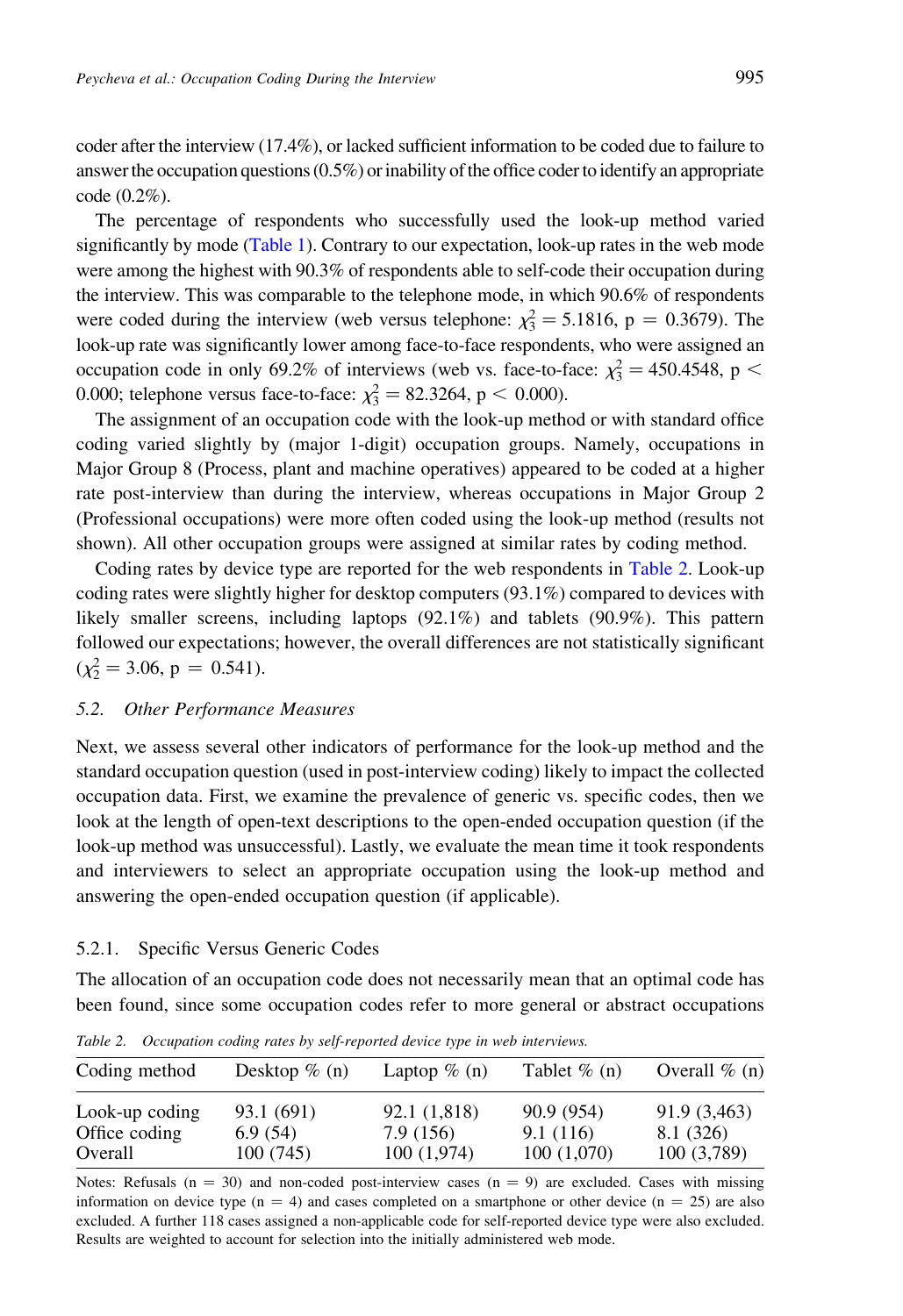coder after the interview (17.4%), or lacked sufficient information to be coded due to failure to answer the occupation questions  $(0.5\%)$  or inability of the office coder to identify an appropriate code (0.2%).

The percentage of respondents who successfully used the look-up method varied significantly by mode [\(Table 1\)](#page-13-0). Contrary to our expectation, look-up rates in the web mode were among the highest with 90.3% of respondents able to self-code their occupation during the interview. This was comparable to the telephone mode, in which 90.6% of respondents were coded during the interview (web versus telephone:  $\chi_3^2 = 5.1816$ , p = 0.3679). The look-up rate was significantly lower among face-to-face respondents, who were assigned an occupation code in only 69.2% of interviews (web vs. face-to-face:  $\chi^2$  = 450.4548, p < 0.000; telephone versus face-to-face:  $\chi_3^2 = 82.3264$ , p < 0.000).

The assignment of an occupation code with the look-up method or with standard office coding varied slightly by (major 1-digit) occupation groups. Namely, occupations in Major Group 8 (Process, plant and machine operatives) appeared to be coded at a higher rate post-interview than during the interview, whereas occupations in Major Group 2 (Professional occupations) were more often coded using the look-up method (results not shown). All other occupation groups were assigned at similar rates by coding method.

Coding rates by device type are reported for the web respondents in Table 2. Look-up coding rates were slightly higher for desktop computers (93.1%) compared to devices with likely smaller screens, including laptops (92.1%) and tablets (90.9%). This pattern followed our expectations; however, the overall differences are not statistically significant  $(\chi_2^2 = 3.06, p = 0.541).$ 

### 5.2. Other Performance Measures

Next, we assess several other indicators of performance for the look-up method and the standard occupation question (used in post-interview coding) likely to impact the collected occupation data. First, we examine the prevalence of generic vs. specific codes, then we look at the length of open-text descriptions to the open-ended occupation question (if the look-up method was unsuccessful). Lastly, we evaluate the mean time it took respondents and interviewers to select an appropriate occupation using the look-up method and answering the open-ended occupation question (if applicable).

## 5.2.1. Specific Versus Generic Codes

The allocation of an occupation code does not necessarily mean that an optimal code has been found, since some occupation codes refer to more general or abstract occupations

| Coding method  | Desktop $\%$ (n) | Laptop $\%$ (n) | Tablet $\%$ (n) | Overall $\%$ (n) |
|----------------|------------------|-----------------|-----------------|------------------|
| Look-up coding | 93.1 (691)       | 92.1 (1,818)    | 90.9 (954)      | 91.9 (3,463)     |
| Office coding  | 6.9(54)          | 7.9 (156)       | 9.1(116)        | 8.1 (326)        |
| Overall        | 100(745)         | 100(1,974)      | 100(1,070)      | 100(3,789)       |

Table 2. Occupation coding rates by self-reported device type in web interviews.

Notes: Refusals ( $n = 30$ ) and non-coded post-interview cases ( $n = 9$ ) are excluded. Cases with missing information on device type  $(n = 4)$  and cases completed on a smartphone or other device  $(n = 25)$  are also excluded. A further 118 cases assigned a non-applicable code for self-reported device type were also excluded. Results are weighted to account for selection into the initially administered web mode.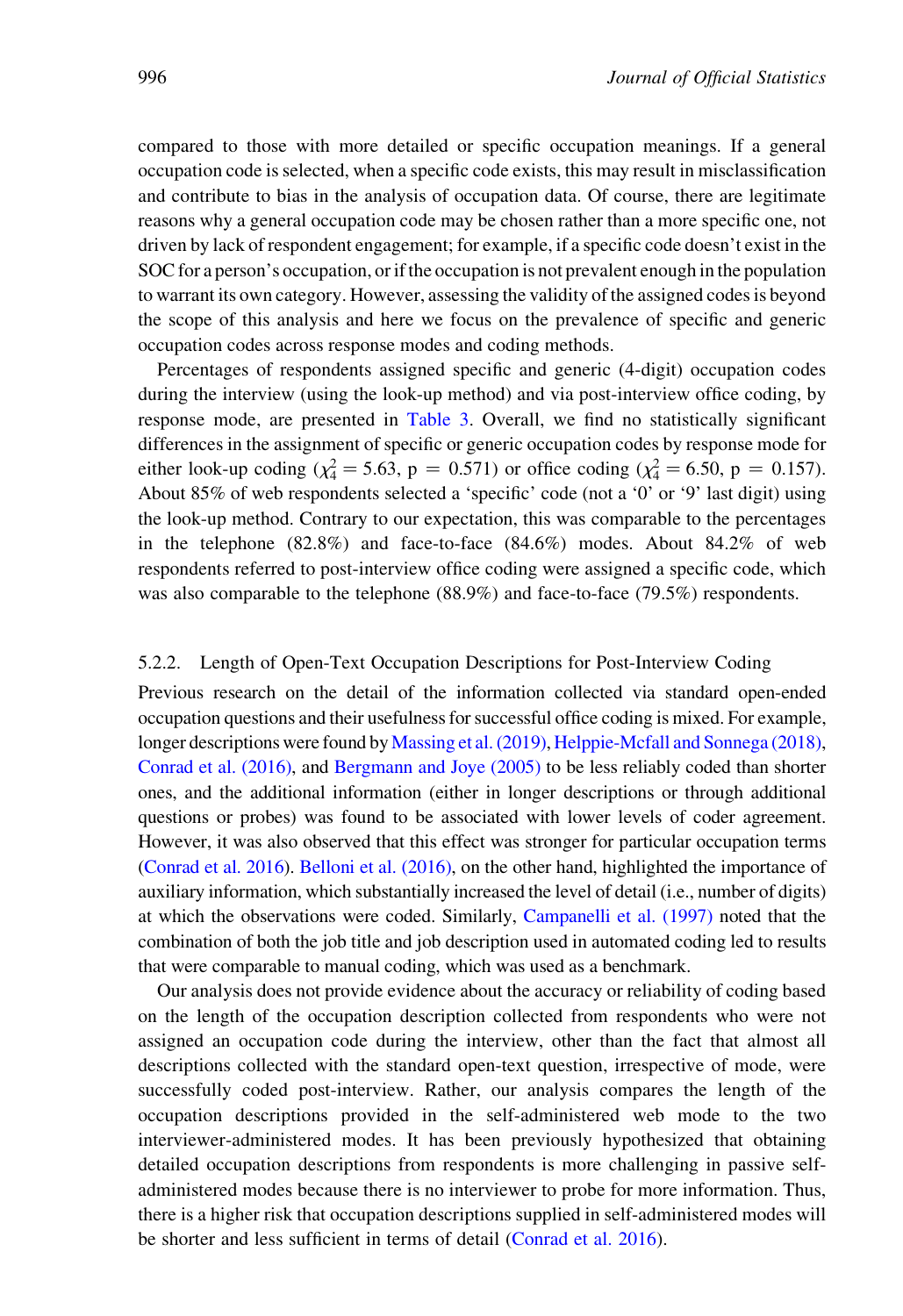compared to those with more detailed or specific occupation meanings. If a general occupation code is selected, when a specific code exists, this may result in misclassification and contribute to bias in the analysis of occupation data. Of course, there are legitimate reasons why a general occupation code may be chosen rather than a more specific one, not driven by lack of respondent engagement; for example, if a specific code doesn't exist in the SOC for a person's occupation, or if the occupation is not prevalent enough in the population to warrant its own category. However, assessing the validity of the assigned codes is beyond the scope of this analysis and here we focus on the prevalence of specific and generic occupation codes across response modes and coding methods.

Percentages of respondents assigned specific and generic (4-digit) occupation codes during the interview (using the look-up method) and via post-interview office coding, by response mode, are presented in [Table 3](#page-16-0). Overall, we find no statistically significant differences in the assignment of specific or generic occupation codes by response mode for either look-up coding ( $\chi^2 = 5.63$ , p = 0.571) or office coding ( $\chi^2 = 6.50$ , p = 0.157). About 85% of web respondents selected a 'specific' code (not a '0' or '9' last digit) using the look-up method. Contrary to our expectation, this was comparable to the percentages in the telephone (82.8%) and face-to-face (84.6%) modes. About 84.2% of web respondents referred to post-interview office coding were assigned a specific code, which was also comparable to the telephone (88.9%) and face-to-face (79.5%) respondents.

# 5.2.2. Length of Open-Text Occupation Descriptions for Post-Interview Coding

Previous research on the detail of the information collected via standard open-ended occupation questions and their usefulness for successful office coding is mixed. For example, longer descriptions were found by [Massing et al. \(2019\),](#page-25-0) [Helppie-Mcfall and Sonnega \(2018\)](#page-24-0), [Conrad et al. \(2016\),](#page-24-0) and [Bergmann and Joye \(2005\)](#page-23-0) to be less reliably coded than shorter ones, and the additional information (either in longer descriptions or through additional questions or probes) was found to be associated with lower levels of coder agreement. However, it was also observed that this effect was stronger for particular occupation terms [\(Conrad et al. 2016\)](#page-24-0). [Belloni et al. \(2016\)](#page-23-0), on the other hand, highlighted the importance of auxiliary information, which substantially increased the level of detail (i.e., number of digits) at which the observations were coded. Similarly, [Campanelli et al. \(1997\)](#page-23-0) noted that the combination of both the job title and job description used in automated coding led to results that were comparable to manual coding, which was used as a benchmark.

Our analysis does not provide evidence about the accuracy or reliability of coding based on the length of the occupation description collected from respondents who were not assigned an occupation code during the interview, other than the fact that almost all descriptions collected with the standard open-text question, irrespective of mode, were successfully coded post-interview. Rather, our analysis compares the length of the occupation descriptions provided in the self-administered web mode to the two interviewer-administered modes. It has been previously hypothesized that obtaining detailed occupation descriptions from respondents is more challenging in passive selfadministered modes because there is no interviewer to probe for more information. Thus, there is a higher risk that occupation descriptions supplied in self-administered modes will be shorter and less sufficient in terms of detail ([Conrad et al. 2016](#page-24-0)).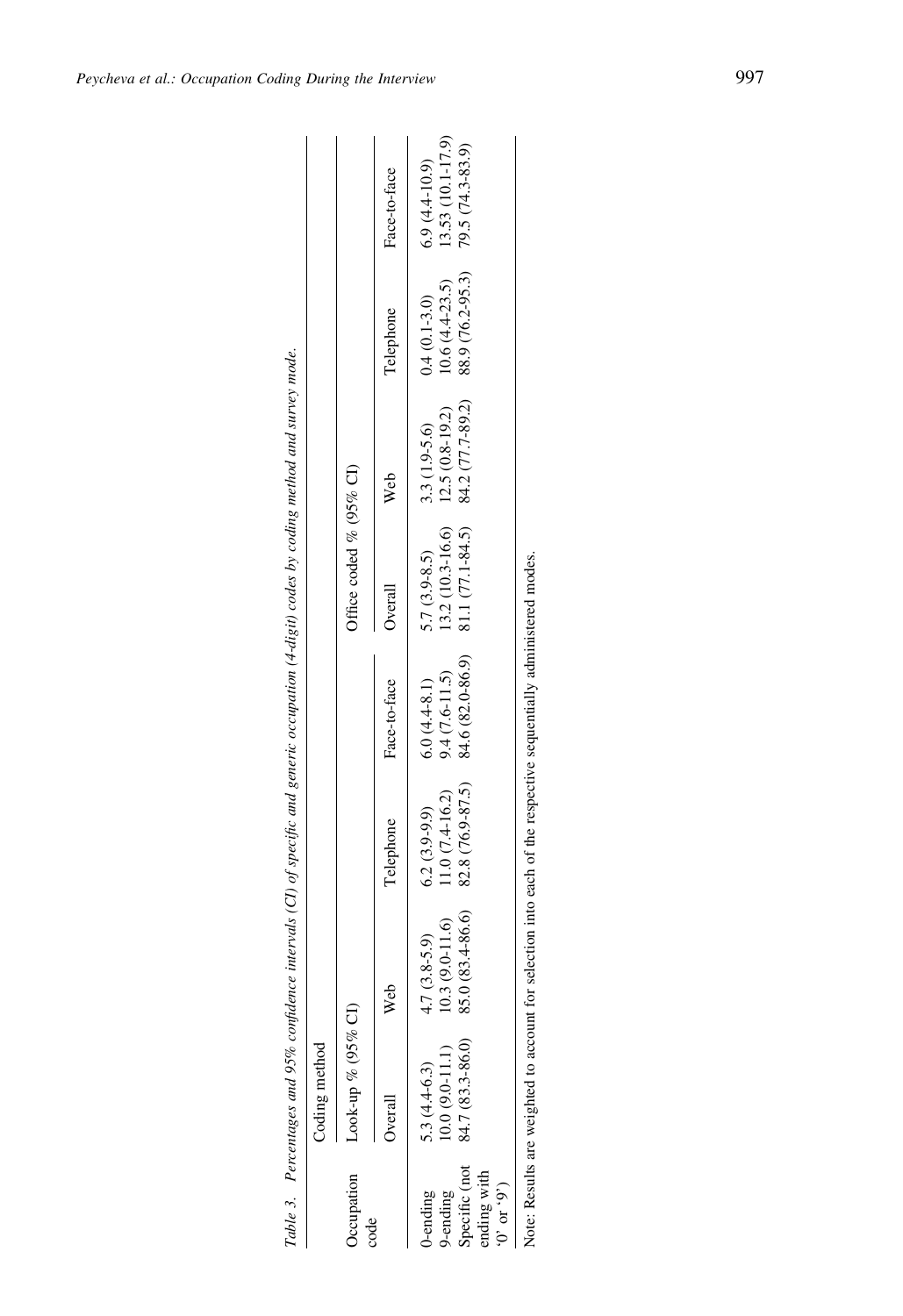<span id="page-16-0"></span>

|                                               | Coding method      |                   |                  |                  |                         |                  |                  |                   |
|-----------------------------------------------|--------------------|-------------------|------------------|------------------|-------------------------|------------------|------------------|-------------------|
| <b>C</b> cupation                             | Look-up % (95% CI) |                   |                  |                  | Office coded % (95% CI) |                  |                  |                   |
| $\cot$                                        | Overall            | <b>Web</b>        | Telephone        | Face-to-face     | Overall                 | Web              | Telephone        | Face-to-face      |
| J-ending                                      | 5.3 $(4.4-6.3)$    | $4.7(3.8-5.9)$    | $6.2(3.9-9.9)$   | $6.0(4.4-8.1)$   | $5.7(3.9-8.5)$          | $3.3(1.9-5.6)$   | $0.4(0.1-3.0)$   | $6.9(4.4-10.9)$   |
| 9-ending                                      | $0.0(9.0-11.1)$    | $(0.3(9.0-11.6))$ | $11.0(7.4-16.2)$ | $9.4(7.6-11.5)$  | $13.2(10.3 - 16.6)$     | $12.5(0.8-19.2)$ | $10.6(4.4-23.5)$ | 13.53 (10.1-17.9) |
| Specific (not<br>ending with<br>(6, 50, 0, 0) | 84.7 (83.3-86.0)   | 85.0 (83.4-86.6)  | 82.8 (76.9-87.5) | 84.6 (82.0-86.9) | 81.1 (77.1-84.5)        | 84.2 (77.7-89.2) | 88.9 (76.2-95.3) | 79.5 (74.3-83.9)  |

Note: Results are weighted to account for selection into each of the respective sequentially administered modes. Note: Results are weighted to account for selection into each of the respective sequentially administered modes.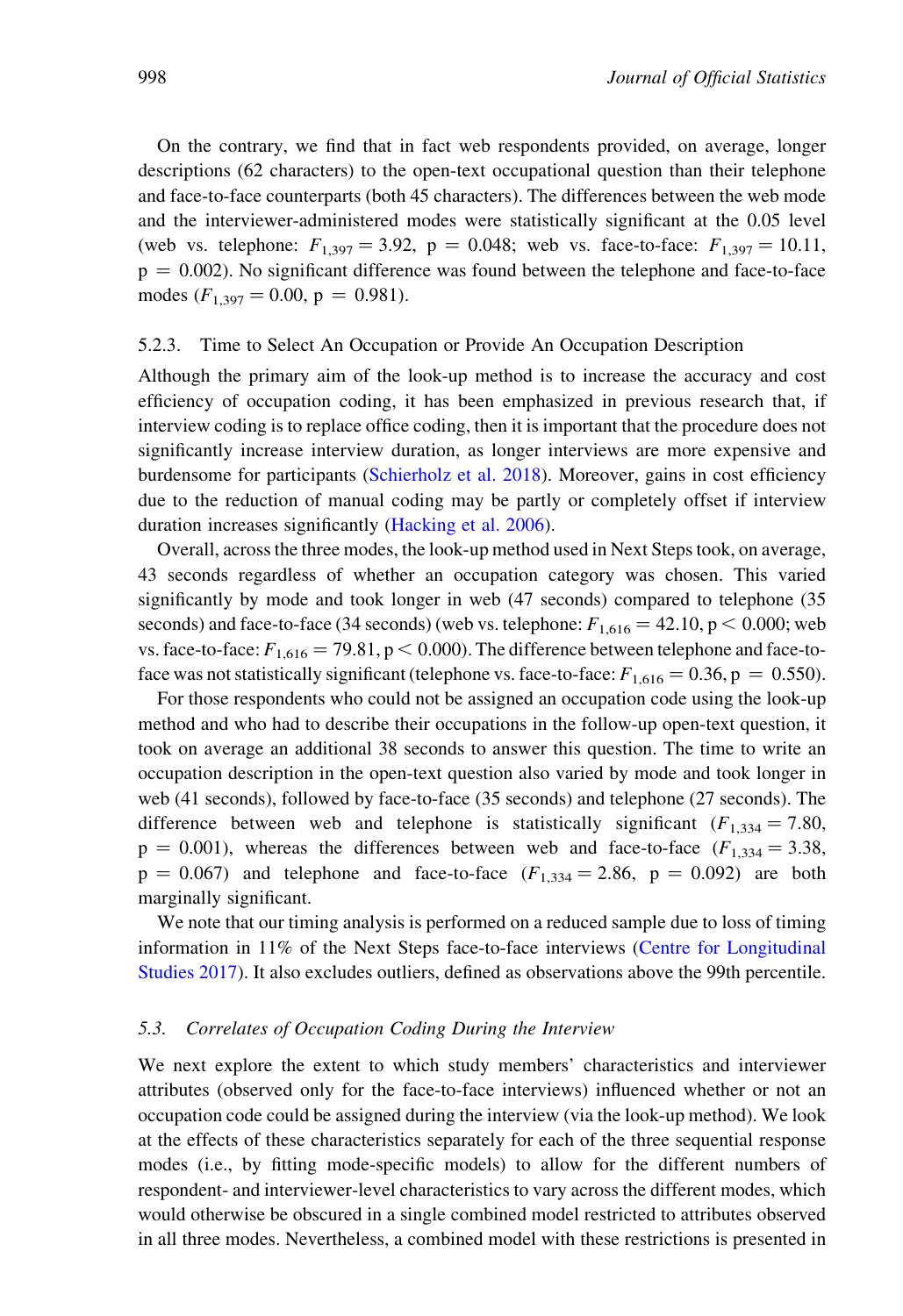On the contrary, we find that in fact web respondents provided, on average, longer descriptions (62 characters) to the open-text occupational question than their telephone and face-to-face counterparts (both 45 characters). The differences between the web mode and the interviewer-administered modes were statistically significant at the 0.05 level (web vs. telephone:  $F_{1,397} = 3.92$ , p = 0.048; web vs. face-to-face:  $F_{1,397} = 10.11$ ,  $p = 0.002$ ). No significant difference was found between the telephone and face-to-face modes  $(F_{1,397} = 0.00, p = 0.981)$ .

# 5.2.3. Time to Select An Occupation or Provide An Occupation Description

Although the primary aim of the look-up method is to increase the accuracy and cost efficiency of occupation coding, it has been emphasized in previous research that, if interview coding is to replace office coding, then it is important that the procedure does not significantly increase interview duration, as longer interviews are more expensive and burdensome for participants [\(Schierholz et al. 2018\)](#page-25-0). Moreover, gains in cost efficiency due to the reduction of manual coding may be partly or completely offset if interview duration increases significantly ([Hacking et al. 2006\)](#page-24-0).

Overall, across the three modes, the look-up method used in Next Steps took, on average, 43 seconds regardless of whether an occupation category was chosen. This varied significantly by mode and took longer in web (47 seconds) compared to telephone (35 seconds) and face-to-face (34 seconds) (web vs. telephone:  $F_{1,616} = 42.10$ , p  $< 0.000$ ; web vs. face-to-face:  $F_{1,616} = 79.81$ , p < 0.000). The difference between telephone and face-toface was not statistically significant (telephone vs. face-to-face:  $F_{1,616} = 0.36$ , p = 0.550).

For those respondents who could not be assigned an occupation code using the look-up method and who had to describe their occupations in the follow-up open-text question, it took on average an additional 38 seconds to answer this question. The time to write an occupation description in the open-text question also varied by mode and took longer in web (41 seconds), followed by face-to-face (35 seconds) and telephone (27 seconds). The difference between web and telephone is statistically significant ( $F_{1,334} = 7.80$ ,  $p = 0.001$ ), whereas the differences between web and face-to-face ( $F_{1,334} = 3.38$ ,  $p = 0.067$ ) and telephone and face-to-face  $(F_{1,334} = 2.86, p = 0.092)$  are both marginally significant.

We note that our timing analysis is performed on a reduced sample due to loss of timing information in 11% of the Next Steps face-to-face interviews [\(Centre for Longitudinal](#page-24-0) [Studies 2017\)](#page-24-0). It also excludes outliers, defined as observations above the 99th percentile.

## 5.3. Correlates of Occupation Coding During the Interview

We next explore the extent to which study members' characteristics and interviewer attributes (observed only for the face-to-face interviews) influenced whether or not an occupation code could be assigned during the interview (via the look-up method). We look at the effects of these characteristics separately for each of the three sequential response modes (i.e., by fitting mode-specific models) to allow for the different numbers of respondent- and interviewer-level characteristics to vary across the different modes, which would otherwise be obscured in a single combined model restricted to attributes observed in all three modes. Nevertheless, a combined model with these restrictions is presented in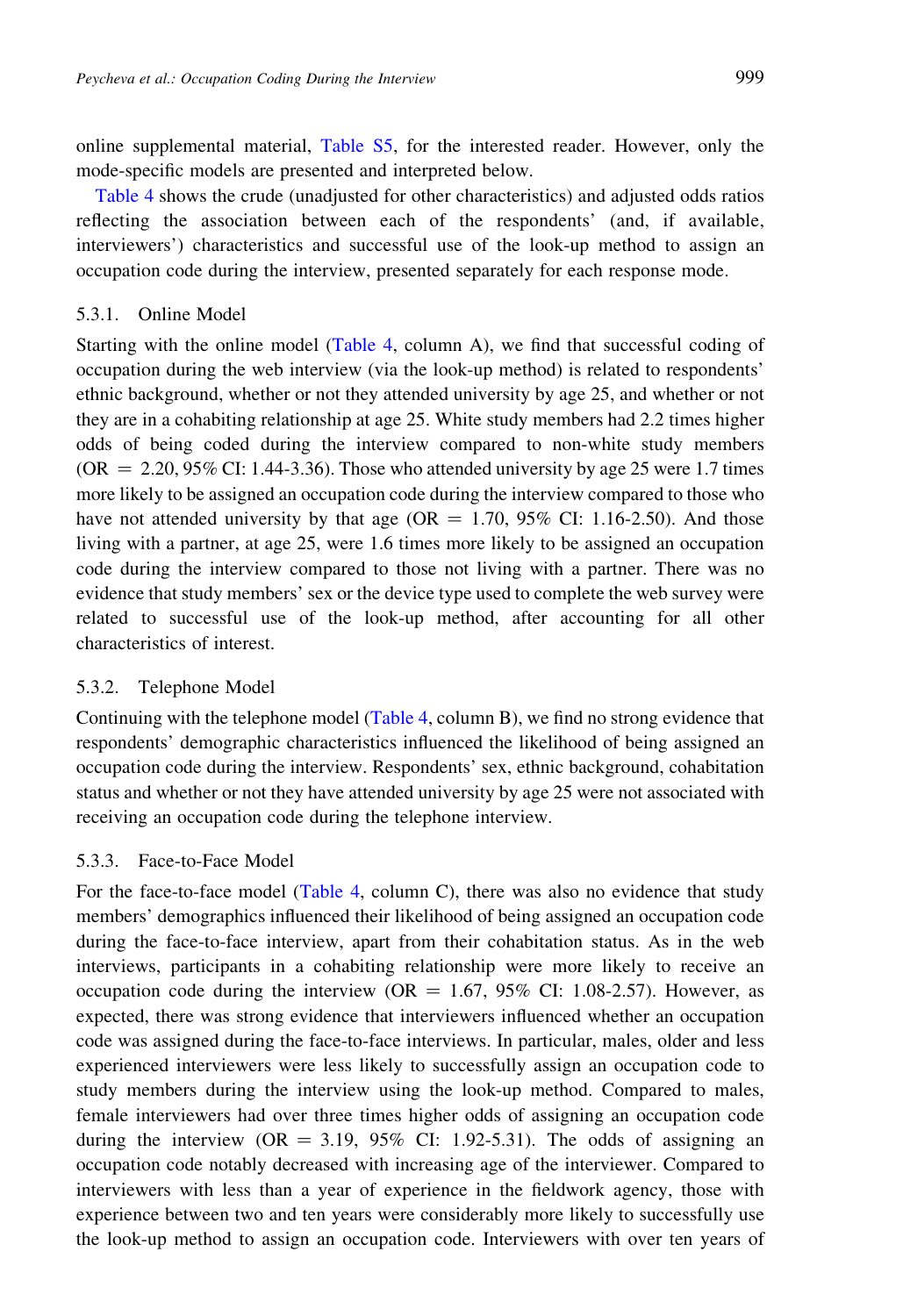online supplemental material, [Table S5,](#page-13-0) for the interested reader. However, only the mode-specific models are presented and interpreted below.

[Table 4](#page-19-0) shows the crude (unadjusted for other characteristics) and adjusted odds ratios reflecting the association between each of the respondents' (and, if available, interviewers') characteristics and successful use of the look-up method to assign an occupation code during the interview, presented separately for each response mode.

#### 5.3.1. Online Model

Starting with the online model [\(Table 4,](#page-19-0) column A), we find that successful coding of occupation during the web interview (via the look-up method) is related to respondents' ethnic background, whether or not they attended university by age 25, and whether or not they are in a cohabiting relationship at age 25. White study members had 2.2 times higher odds of being coded during the interview compared to non-white study members (OR  $= 2.20, 95\%$  CI: 1.44-3.36). Those who attended university by age 25 were 1.7 times more likely to be assigned an occupation code during the interview compared to those who have not attended university by that age ( $OR = 1.70$ , 95% CI: 1.16-2.50). And those living with a partner, at age 25, were 1.6 times more likely to be assigned an occupation code during the interview compared to those not living with a partner. There was no evidence that study members' sex or the device type used to complete the web survey were related to successful use of the look-up method, after accounting for all other characteristics of interest.

### 5.3.2. Telephone Model

Continuing with the telephone model [\(Table 4](#page-19-0), column B), we find no strong evidence that respondents' demographic characteristics influenced the likelihood of being assigned an occupation code during the interview. Respondents' sex, ethnic background, cohabitation status and whether or not they have attended university by age 25 were not associated with receiving an occupation code during the telephone interview.

# 5.3.3. Face-to-Face Model

For the face-to-face model [\(Table 4,](#page-19-0) column C), there was also no evidence that study members' demographics influenced their likelihood of being assigned an occupation code during the face-to-face interview, apart from their cohabitation status. As in the web interviews, participants in a cohabiting relationship were more likely to receive an occupation code during the interview (OR =  $1.67$ , 95% CI: 1.08-2.57). However, as expected, there was strong evidence that interviewers influenced whether an occupation code was assigned during the face-to-face interviews. In particular, males, older and less experienced interviewers were less likely to successfully assign an occupation code to study members during the interview using the look-up method. Compared to males, female interviewers had over three times higher odds of assigning an occupation code during the interview ( $OR = 3.19$ ,  $95\%$  CI: 1.92-5.31). The odds of assigning an occupation code notably decreased with increasing age of the interviewer. Compared to interviewers with less than a year of experience in the fieldwork agency, those with experience between two and ten years were considerably more likely to successfully use the look-up method to assign an occupation code. Interviewers with over ten years of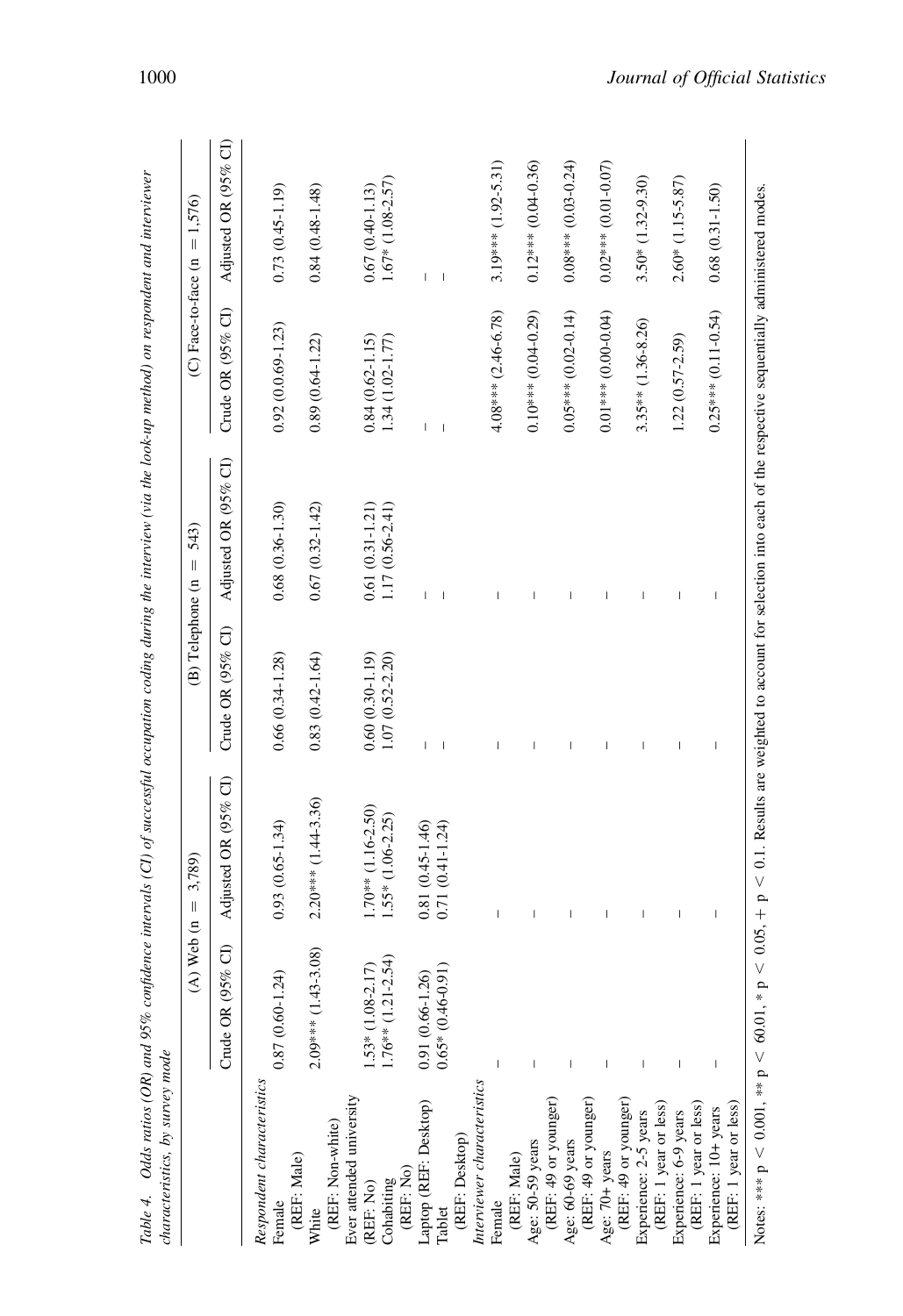|                                                | $(A)$ Web $(n)$       | 3,789)<br>$\left  {}\right $                                                                                                              | (B) Telephone (n    | 543)<br>$\mid \mid$      | (C) Face-to-face (n      | $= 1,576$                |
|------------------------------------------------|-----------------------|-------------------------------------------------------------------------------------------------------------------------------------------|---------------------|--------------------------|--------------------------|--------------------------|
|                                                | Crude OR (95% CI)     | Adjusted OR (95% CI)                                                                                                                      | Crude OR (95% CI)   | Adjusted OR (95% CI)     | Crude OR (95% CI)        | Adjusted OR (95% CI)     |
| Respondent characteristics                     |                       |                                                                                                                                           |                     |                          |                          |                          |
| (REF: Male)<br>Female                          | $0.87(0.60 - 1.24)$   | $0.93(0.65 - 1.34)$                                                                                                                       | $0.66(0.34 - 1.28)$ | $0.68(0.36 - 1.30)$      | $0.92(0.0.69 - 1.23)$    | $0.73(0.45-1.19)$        |
| White                                          | $2.09***$ (1.43-3.08) | $2.20***$ (1.44-3.36)                                                                                                                     | $0.83(0.42 - 1.64)$ | $0.67(0.32 - 1.42)$      | $0.89(0.64 - 1.22)$      | $0.84(0.48-1.48)$        |
| Ever attended university<br>(REF: Non-white)   |                       |                                                                                                                                           |                     |                          |                          |                          |
| (REF: No)                                      | $1.53*(1.08-2.17)$    | $1.70**$ (1.16-2.50)                                                                                                                      | $0.60(0.30-1.19)$   | $0.61(0.31 - 1.21)$      | $0.84(0.62 - 1.15)$      | $0.67(0.40 - 1.13)$      |
| (REF: No)<br>Cohabiting                        | $1.76**$ (1.21-2.54)  | $1.55*$ (1.06-2.25)                                                                                                                       | $1.07(0.52 - 2.20)$ | $1.17(0.56 - 2.41)$      | $1.34(1.02 - 1.77)$      | $1.67*(1.08-2.57)$       |
| Laptop (REF: Desktop)                          | $0.91(0.66 - 1.26)$   | $0.81(0.45 - 1.46)$                                                                                                                       |                     | T                        |                          | T                        |
| Tablet                                         | $0.65*(0.46-0.91)$    | $0.71(0.41 - 1.24)$                                                                                                                       |                     |                          | $\overline{\phantom{a}}$ | $\overline{\phantom{a}}$ |
| (REF: Desktop)                                 |                       |                                                                                                                                           |                     |                          |                          |                          |
| Interviewer characteristics                    |                       |                                                                                                                                           |                     |                          |                          |                          |
| Female                                         |                       | I                                                                                                                                         |                     | $\overline{\phantom{a}}$ | $4.08***$ (2.46-6.78)    | $3.19***$ (1.92-5.31)    |
| (REF: Male)                                    |                       |                                                                                                                                           |                     |                          |                          |                          |
| Age: 50-59 years                               |                       | I                                                                                                                                         |                     |                          | $0.10***$ (0.04-0.29)    | $0.12***$ (0.04-0.36)    |
| (REF: 49 or younger)                           |                       |                                                                                                                                           |                     |                          |                          |                          |
| Age: 60-69 years                               |                       | I                                                                                                                                         |                     | I                        | $0.05***$ (0.02-0.14)    | $0.08***$ (0.03-0.24)    |
| (REF: 49 or younger)                           |                       |                                                                                                                                           |                     |                          |                          |                          |
| Age: 70+ years                                 |                       | $\overline{\phantom{a}}$                                                                                                                  |                     | $\overline{1}$           | $0.01***$ (0.00-0.04)    | $0.02***$ (0.01-0.07)    |
| (REF: 49 or younger)                           |                       |                                                                                                                                           |                     |                          |                          |                          |
| Experience: 2-5 years                          |                       | I                                                                                                                                         |                     | $\overline{\phantom{a}}$ | $3.35***$ (1.36-8.26)    | $3.50*$ (1.32-9.30)      |
| (REF: 1 year or less)                          |                       |                                                                                                                                           |                     |                          |                          |                          |
| Experience: 6-9 years                          |                       | I                                                                                                                                         |                     | I                        | $1.22(0.57 - 2.59)$      | $2.60*$ (1.15-5.87)      |
| (REF: 1 year or less)                          |                       |                                                                                                                                           |                     |                          |                          |                          |
| (REF: 1 year or less)<br>Experience: 10+ years |                       | $\overline{\phantom{a}}$                                                                                                                  | I                   | I                        | $0.25***$ (0.11-0.54)    | $0.68(0.31 - 1.50)$      |
| Notes: *** $p < 0.001$ , ** $p < 60.01$ , *    |                       | $p \le 0.05$ , $+ p \le 0.1$ . Results are weighted to account for selection into each of the respective sequentially administered modes. |                     |                          |                          |                          |

<span id="page-19-0"></span>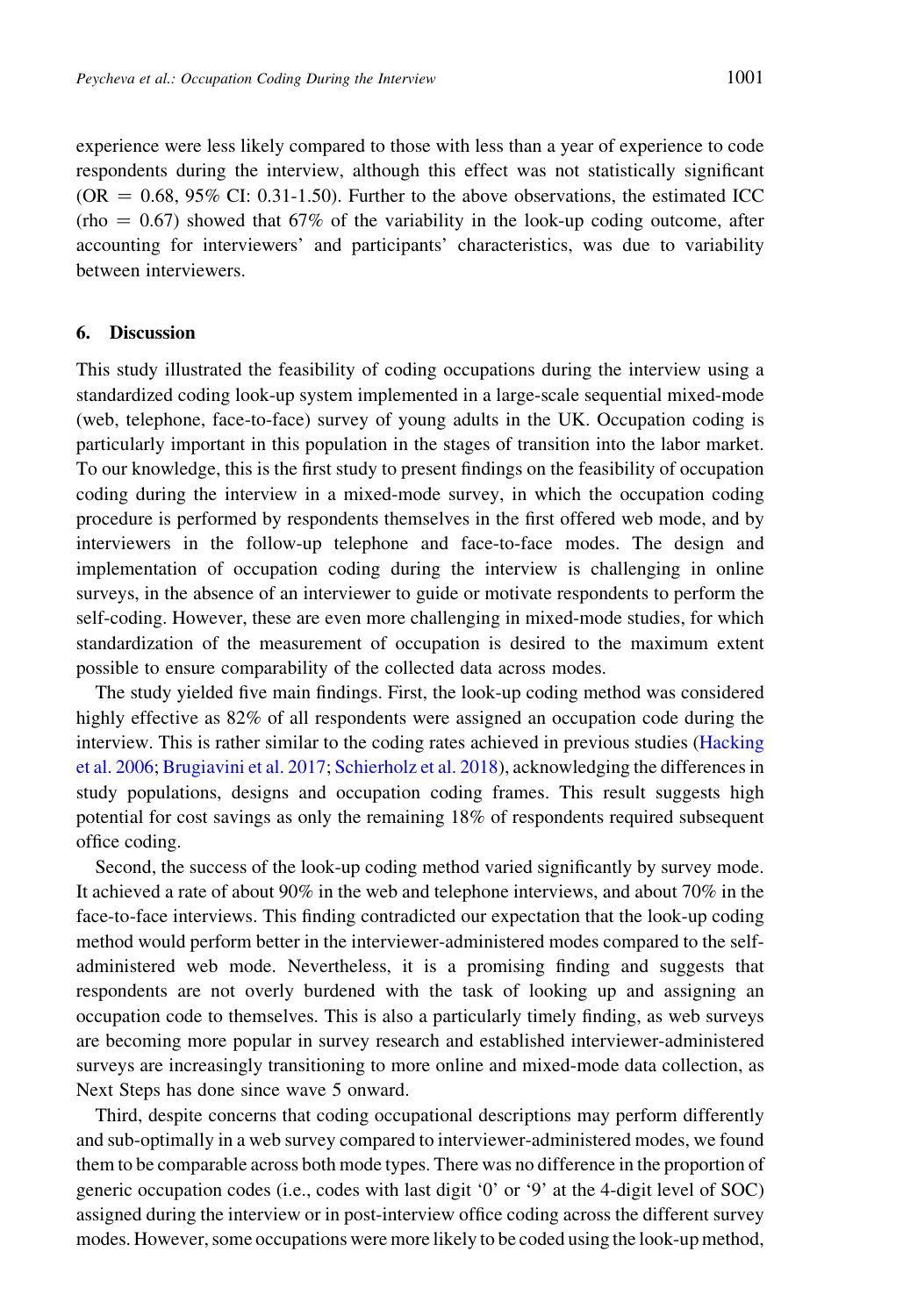experience were less likely compared to those with less than a year of experience to code respondents during the interview, although this effect was not statistically significant  $(OR = 0.68, 95\% \text{ CI: } 0.31-1.50)$ . Further to the above observations, the estimated ICC (rho  $= 0.67$ ) showed that 67% of the variability in the look-up coding outcome, after accounting for interviewers' and participants' characteristics, was due to variability between interviewers.

# 6. Discussion

This study illustrated the feasibility of coding occupations during the interview using a standardized coding look-up system implemented in a large-scale sequential mixed-mode (web, telephone, face-to-face) survey of young adults in the UK. Occupation coding is particularly important in this population in the stages of transition into the labor market. To our knowledge, this is the first study to present findings on the feasibility of occupation coding during the interview in a mixed-mode survey, in which the occupation coding procedure is performed by respondents themselves in the first offered web mode, and by interviewers in the follow-up telephone and face-to-face modes. The design and implementation of occupation coding during the interview is challenging in online surveys, in the absence of an interviewer to guide or motivate respondents to perform the self-coding. However, these are even more challenging in mixed-mode studies, for which standardization of the measurement of occupation is desired to the maximum extent possible to ensure comparability of the collected data across modes.

The study yielded five main findings. First, the look-up coding method was considered highly effective as  $82\%$  of all respondents were assigned an occupation code during the interview. This is rather similar to the coding rates achieved in previous studies [\(Hacking](#page-24-0) [et al. 2006](#page-24-0); [Brugiavini et al. 2017;](#page-23-0) [Schierholz et al. 2018\)](#page-25-0), acknowledging the differences in study populations, designs and occupation coding frames. This result suggests high potential for cost savings as only the remaining 18% of respondents required subsequent office coding.

Second, the success of the look-up coding method varied significantly by survey mode. It achieved a rate of about 90% in the web and telephone interviews, and about 70% in the face-to-face interviews. This finding contradicted our expectation that the look-up coding method would perform better in the interviewer-administered modes compared to the selfadministered web mode. Nevertheless, it is a promising finding and suggests that respondents are not overly burdened with the task of looking up and assigning an occupation code to themselves. This is also a particularly timely finding, as web surveys are becoming more popular in survey research and established interviewer-administered surveys are increasingly transitioning to more online and mixed-mode data collection, as Next Steps has done since wave 5 onward.

Third, despite concerns that coding occupational descriptions may perform differently and sub-optimally in a web survey compared to interviewer-administered modes, we found them to be comparable across both mode types. There was no difference in the proportion of generic occupation codes (i.e., codes with last digit '0' or '9' at the 4-digit level of SOC) assigned during the interview or in post-interview office coding across the different survey modes. However, some occupations were more likely to be coded using the look-up method,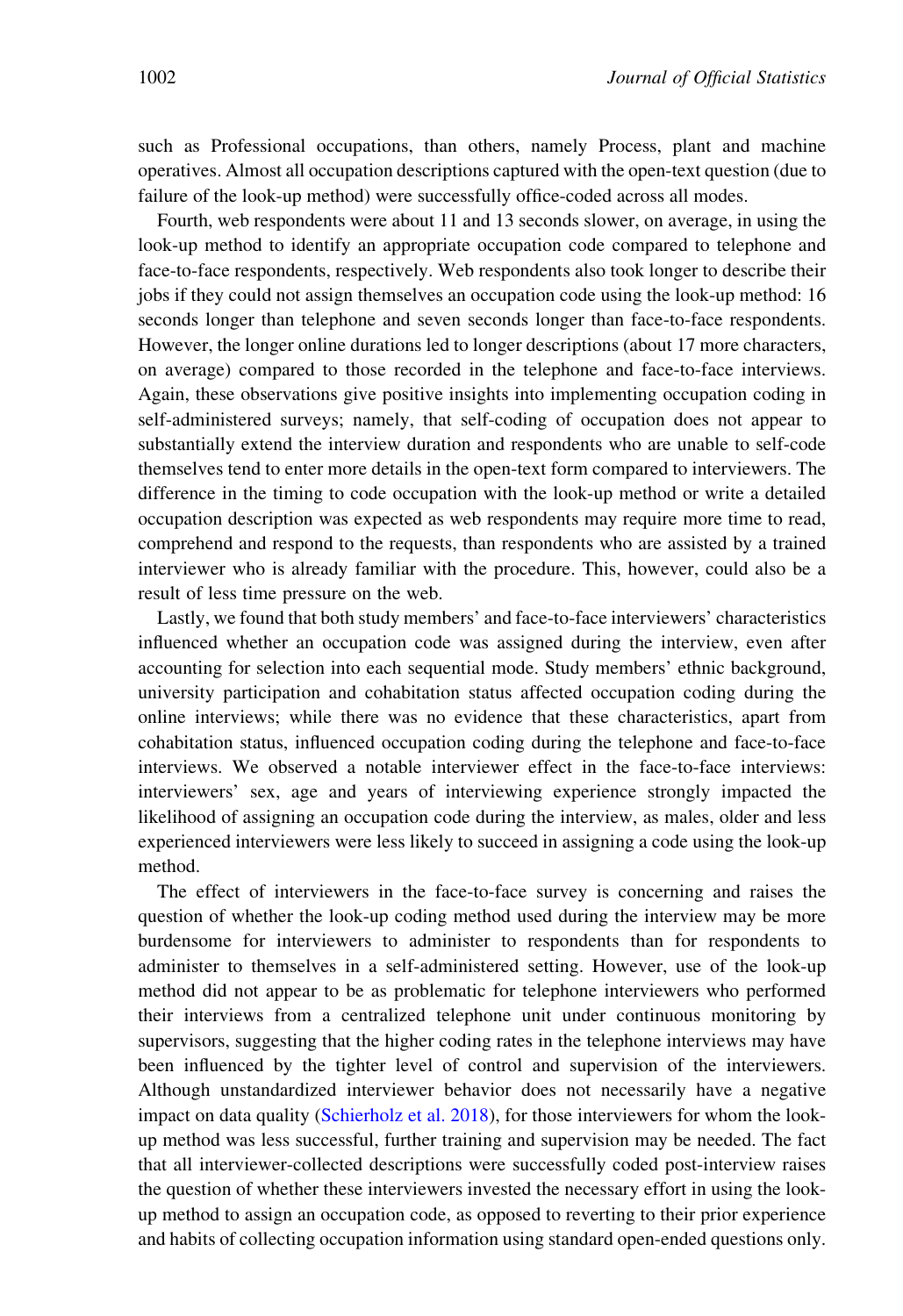such as Professional occupations, than others, namely Process, plant and machine operatives. Almost all occupation descriptions captured with the open-text question (due to failure of the look-up method) were successfully office-coded across all modes.

Fourth, web respondents were about 11 and 13 seconds slower, on average, in using the look-up method to identify an appropriate occupation code compared to telephone and face-to-face respondents, respectively. Web respondents also took longer to describe their jobs if they could not assign themselves an occupation code using the look-up method: 16 seconds longer than telephone and seven seconds longer than face-to-face respondents. However, the longer online durations led to longer descriptions (about 17 more characters, on average) compared to those recorded in the telephone and face-to-face interviews. Again, these observations give positive insights into implementing occupation coding in self-administered surveys; namely, that self-coding of occupation does not appear to substantially extend the interview duration and respondents who are unable to self-code themselves tend to enter more details in the open-text form compared to interviewers. The difference in the timing to code occupation with the look-up method or write a detailed occupation description was expected as web respondents may require more time to read, comprehend and respond to the requests, than respondents who are assisted by a trained interviewer who is already familiar with the procedure. This, however, could also be a result of less time pressure on the web.

Lastly, we found that both study members' and face-to-face interviewers' characteristics influenced whether an occupation code was assigned during the interview, even after accounting for selection into each sequential mode. Study members' ethnic background, university participation and cohabitation status affected occupation coding during the online interviews; while there was no evidence that these characteristics, apart from cohabitation status, influenced occupation coding during the telephone and face-to-face interviews. We observed a notable interviewer effect in the face-to-face interviews: interviewers' sex, age and years of interviewing experience strongly impacted the likelihood of assigning an occupation code during the interview, as males, older and less experienced interviewers were less likely to succeed in assigning a code using the look-up method.

The effect of interviewers in the face-to-face survey is concerning and raises the question of whether the look-up coding method used during the interview may be more burdensome for interviewers to administer to respondents than for respondents to administer to themselves in a self-administered setting. However, use of the look-up method did not appear to be as problematic for telephone interviewers who performed their interviews from a centralized telephone unit under continuous monitoring by supervisors, suggesting that the higher coding rates in the telephone interviews may have been influenced by the tighter level of control and supervision of the interviewers. Although unstandardized interviewer behavior does not necessarily have a negative impact on data quality [\(Schierholz et al. 2018\)](#page-25-0), for those interviewers for whom the lookup method was less successful, further training and supervision may be needed. The fact that all interviewer-collected descriptions were successfully coded post-interview raises the question of whether these interviewers invested the necessary effort in using the lookup method to assign an occupation code, as opposed to reverting to their prior experience and habits of collecting occupation information using standard open-ended questions only.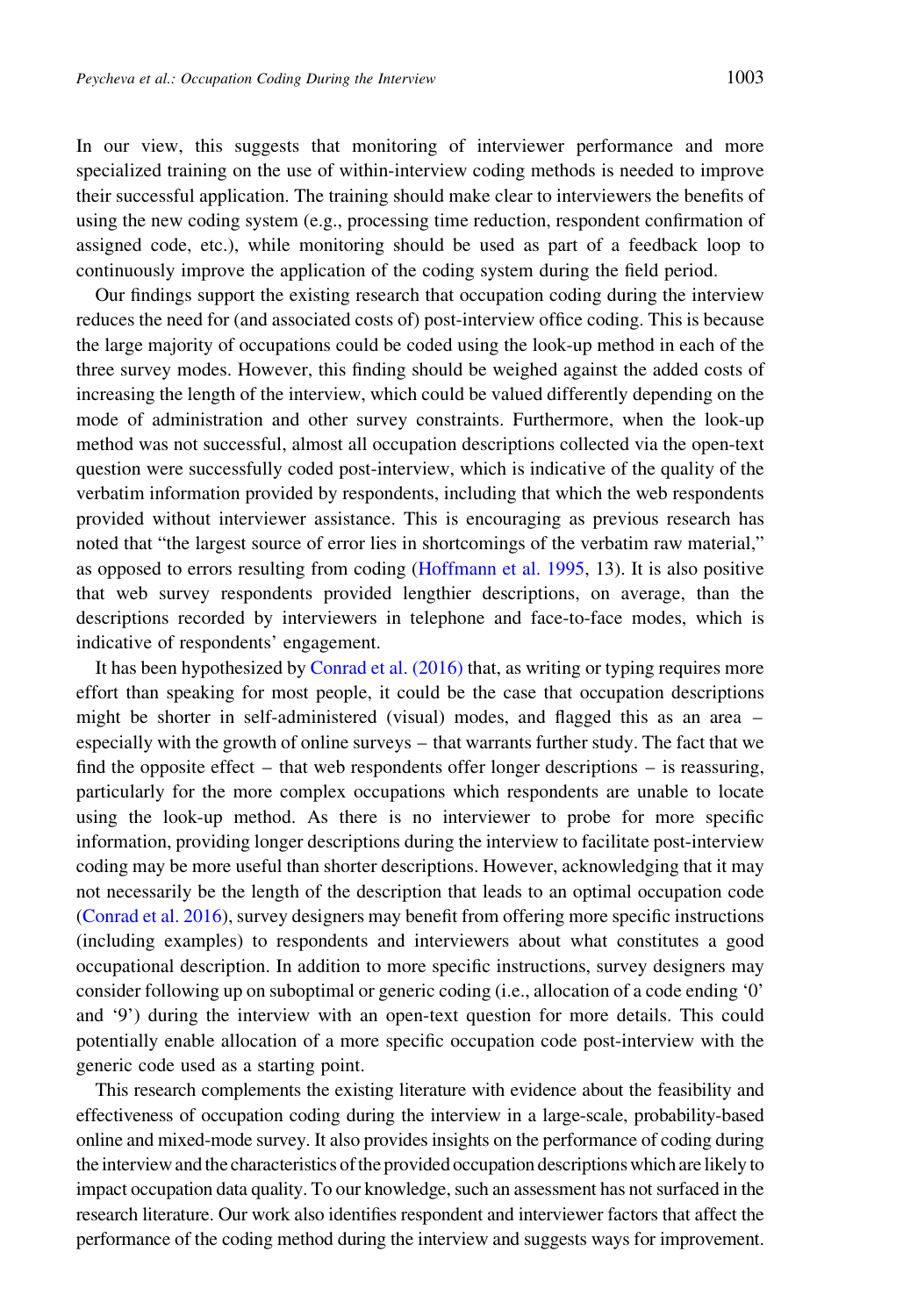In our view, this suggests that monitoring of interviewer performance and more specialized training on the use of within-interview coding methods is needed to improve their successful application. The training should make clear to interviewers the benefits of using the new coding system (e.g., processing time reduction, respondent confirmation of assigned code, etc.), while monitoring should be used as part of a feedback loop to continuously improve the application of the coding system during the field period.

Our findings support the existing research that occupation coding during the interview reduces the need for (and associated costs of) post-interview office coding. This is because the large majority of occupations could be coded using the look-up method in each of the three survey modes. However, this finding should be weighed against the added costs of increasing the length of the interview, which could be valued differently depending on the mode of administration and other survey constraints. Furthermore, when the look-up method was not successful, almost all occupation descriptions collected via the open-text question were successfully coded post-interview, which is indicative of the quality of the verbatim information provided by respondents, including that which the web respondents provided without interviewer assistance. This is encouraging as previous research has noted that "the largest source of error lies in shortcomings of the verbatim raw material," as opposed to errors resulting from coding ([Hoffmann et al. 1995,](#page-24-0) 13). It is also positive that web survey respondents provided lengthier descriptions, on average, than the descriptions recorded by interviewers in telephone and face-to-face modes, which is indicative of respondents' engagement.

It has been hypothesized by [Conrad et al. \(2016\)](#page-24-0) that, as writing or typing requires more effort than speaking for most people, it could be the case that occupation descriptions might be shorter in self-administered (visual) modes, and flagged this as an area – especially with the growth of online surveys – that warrants further study. The fact that we find the opposite effect – that web respondents offer longer descriptions – is reassuring, particularly for the more complex occupations which respondents are unable to locate using the look-up method. As there is no interviewer to probe for more specific information, providing longer descriptions during the interview to facilitate post-interview coding may be more useful than shorter descriptions. However, acknowledging that it may not necessarily be the length of the description that leads to an optimal occupation code [\(Conrad et al. 2016\)](#page-24-0), survey designers may benefit from offering more specific instructions (including examples) to respondents and interviewers about what constitutes a good occupational description. In addition to more specific instructions, survey designers may consider following up on suboptimal or generic coding (i.e., allocation of a code ending '0' and '9') during the interview with an open-text question for more details. This could potentially enable allocation of a more specific occupation code post-interview with the generic code used as a starting point.

This research complements the existing literature with evidence about the feasibility and effectiveness of occupation coding during the interview in a large-scale, probability-based online and mixed-mode survey. It also provides insights on the performance of coding during the interview and the characteristics of the provided occupation descriptions which are likely to impact occupation data quality. To our knowledge, such an assessment has not surfaced in the research literature. Our work also identifies respondent and interviewer factors that affect the performance of the coding method during the interview and suggests ways for improvement.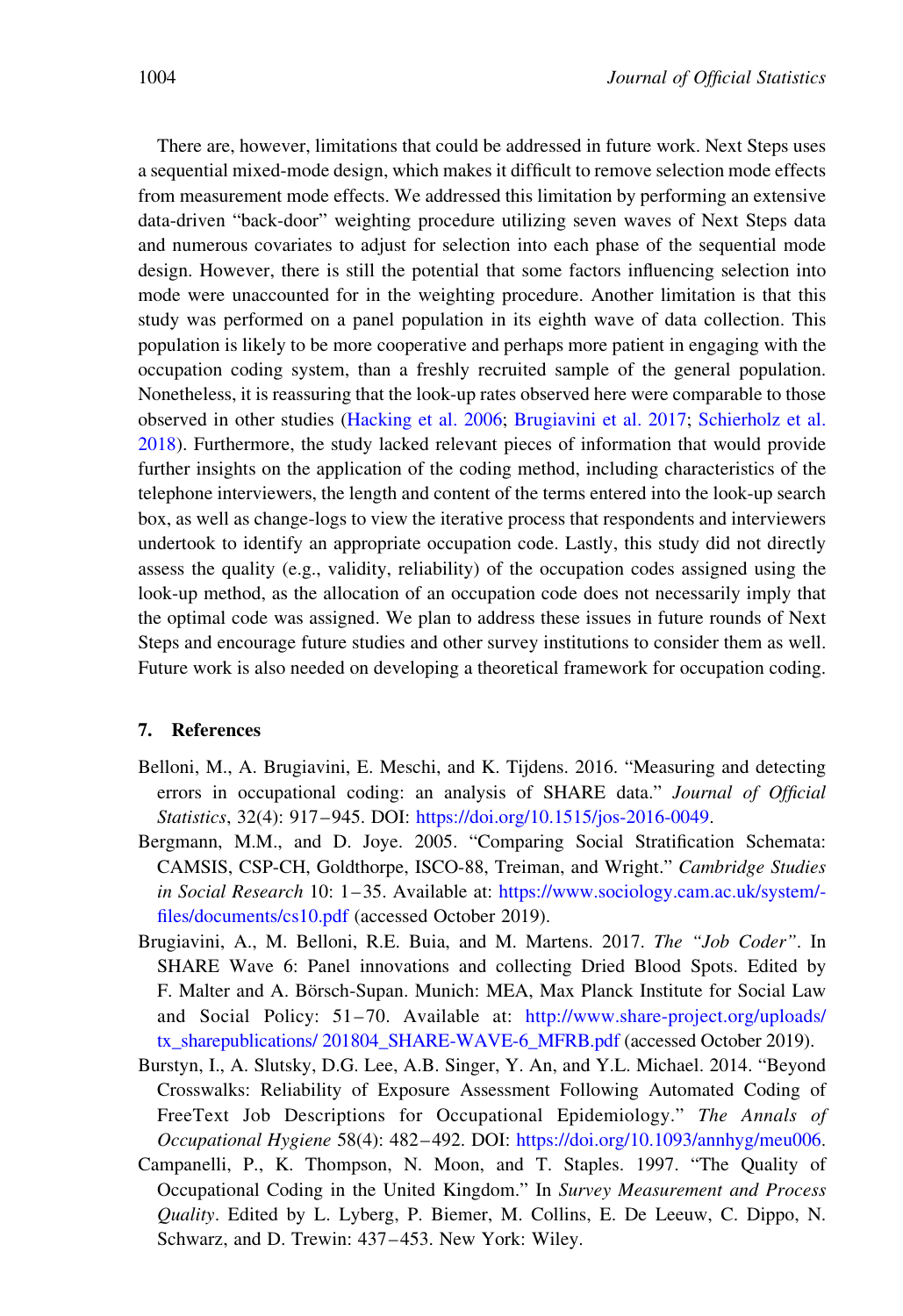<span id="page-23-0"></span>There are, however, limitations that could be addressed in future work. Next Steps uses a sequential mixed-mode design, which makes it difficult to remove selection mode effects from measurement mode effects. We addressed this limitation by performing an extensive data-driven "back-door" weighting procedure utilizing seven waves of Next Steps data and numerous covariates to adjust for selection into each phase of the sequential mode design. However, there is still the potential that some factors influencing selection into mode were unaccounted for in the weighting procedure. Another limitation is that this study was performed on a panel population in its eighth wave of data collection. This population is likely to be more cooperative and perhaps more patient in engaging with the occupation coding system, than a freshly recruited sample of the general population. Nonetheless, it is reassuring that the look-up rates observed here were comparable to those observed in other studies ([Hacking et al. 2006;](#page-24-0) Brugiavini et al. 2017; [Schierholz et al.](#page-25-0) [2018\)](#page-25-0). Furthermore, the study lacked relevant pieces of information that would provide further insights on the application of the coding method, including characteristics of the telephone interviewers, the length and content of the terms entered into the look-up search box, as well as change-logs to view the iterative process that respondents and interviewers undertook to identify an appropriate occupation code. Lastly, this study did not directly assess the quality (e.g., validity, reliability) of the occupation codes assigned using the look-up method, as the allocation of an occupation code does not necessarily imply that the optimal code was assigned. We plan to address these issues in future rounds of Next Steps and encourage future studies and other survey institutions to consider them as well. Future work is also needed on developing a theoretical framework for occupation coding.

# 7. References

- Belloni, M., A. Brugiavini, E. Meschi, and K. Tijdens. 2016. "Measuring and detecting errors in occupational coding: an analysis of SHARE data." Journal of Official Statistics, 32(4): 917–945. DOI: [https://doi.org/10.1515/jos-2016-0049.](https://doi.org/10.1515/jos-2016-0049)
- Bergmann, M.M., and D. Joye. 2005. "Comparing Social Stratification Schemata: CAMSIS, CSP-CH, Goldthorpe, ISCO-88, Treiman, and Wright." Cambridge Studies in Social Research 10: 1–35. Available at: [https://www.sociology.cam.ac.uk/system/](https://www.sociology.cam.ac.uk/system/files/documents/cs10.pdf) [files/documents/cs10.pdf](https://www.sociology.cam.ac.uk/system/files/documents/cs10.pdf) (accessed October 2019).
- Brugiavini, A., M. Belloni, R.E. Buia, and M. Martens. 2017. The "Job Coder". In SHARE Wave 6: Panel innovations and collecting Dried Blood Spots. Edited by F. Malter and A. Börsch-Supan. Munich: MEA, Max Planck Institute for Social Law and Social Policy: 51–70. Available at: [http://www.share-project.org/uploads/](http://www.share-project.org/uploads/tx_sharepublications/201804_SHARE-WAVE-6_MFRB.pdf) [tx\\_sharepublications/ 201804\\_SHARE-WAVE-6\\_MFRB.pdf](http://www.share-project.org/uploads/tx_sharepublications/201804_SHARE-WAVE-6_MFRB.pdf) (accessed October 2019).
- Burstyn, I., A. Slutsky, D.G. Lee, A.B. Singer, Y. An, and Y.L. Michael. 2014. "Beyond Crosswalks: Reliability of Exposure Assessment Following Automated Coding of FreeText Job Descriptions for Occupational Epidemiology." The Annals of Occupational Hygiene 58(4): 482–492. DOI: <https://doi.org/10.1093/annhyg/meu006>.
- Campanelli, P., K. Thompson, N. Moon, and T. Staples. 1997. "The Quality of Occupational Coding in the United Kingdom." In Survey Measurement and Process Quality. Edited by L. Lyberg, P. Biemer, M. Collins, E. De Leeuw, C. Dippo, N. Schwarz, and D. Trewin: 437–453. New York: Wiley.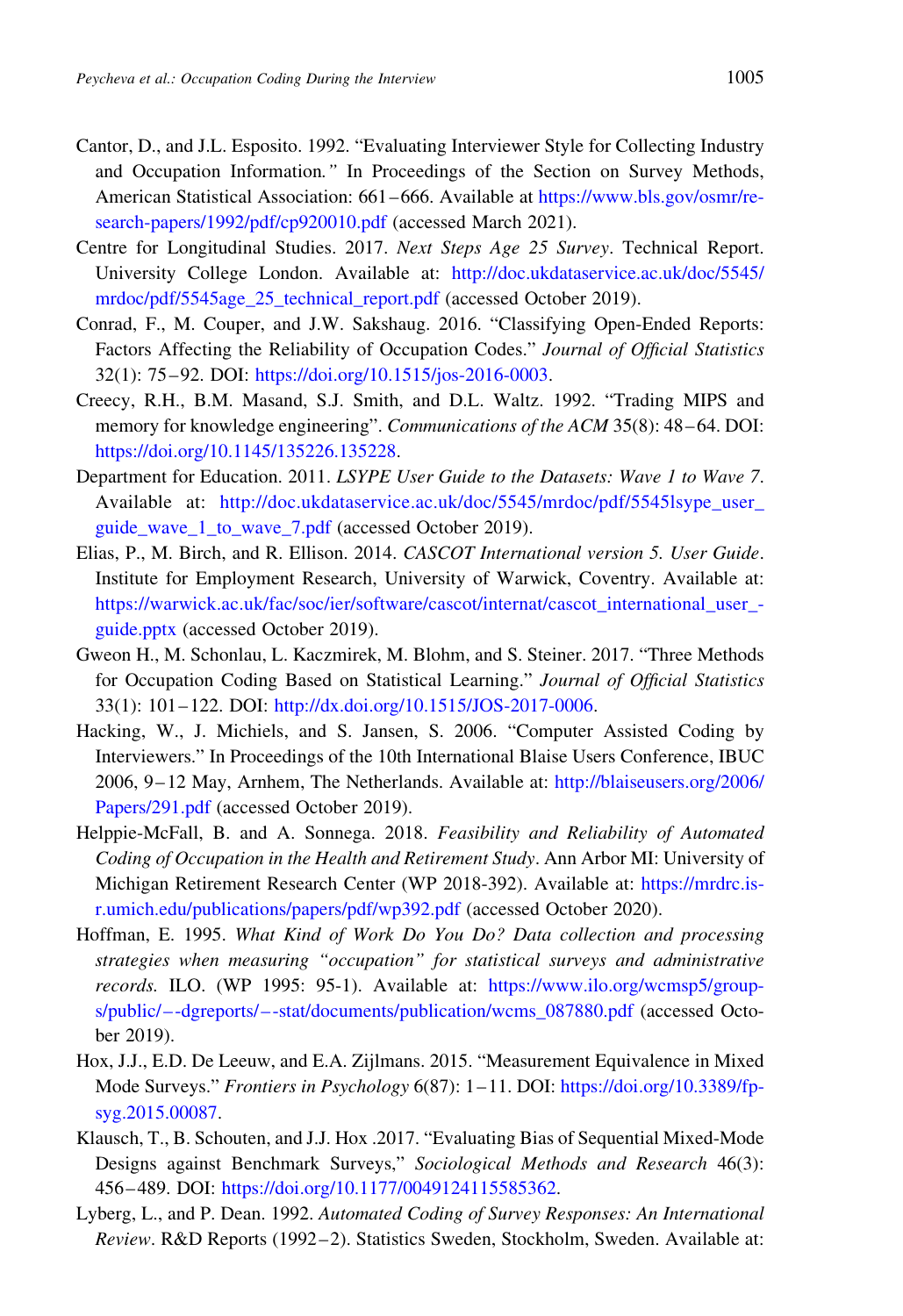- <span id="page-24-0"></span>Cantor, D., and J.L. Esposito. 1992. "Evaluating Interviewer Style for Collecting Industry and Occupation Information." In Proceedings of the Section on Survey Methods, American Statistical Association: 661–666. Available at [https://www.bls.gov/osmr/re](https://www.bls.gov/osmr/research-papers/1992/pdf/cp920010.pdf)[search-papers/1992/pdf/cp920010.pdf](https://www.bls.gov/osmr/research-papers/1992/pdf/cp920010.pdf) (accessed March 2021).
- Centre for Longitudinal Studies. 2017. Next Steps Age 25 Survey. Technical Report. University College London. Available at: [http://doc.ukdataservice.ac.uk/doc/5545/](http://doc.ukdataservice.ac.uk/doc/5545/mrdoc/pdf/5545age_25_technical_report.pdf) [mrdoc/pdf/5545age\\_25\\_technical\\_report.pdf](http://doc.ukdataservice.ac.uk/doc/5545/mrdoc/pdf/5545age_25_technical_report.pdf) (accessed October 2019).
- Conrad, F., M. Couper, and J.W. Sakshaug. 2016. "Classifying Open-Ended Reports: Factors Affecting the Reliability of Occupation Codes." Journal of Official Statistics 32(1): 75–92. DOI: [https://doi.org/10.1515/jos-2016-0003.](https://doi.org/10.1515/jos-2016-0003)
- Creecy, R.H., B.M. Masand, S.J. Smith, and D.L. Waltz. 1992. "Trading MIPS and memory for knowledge engineering". Communications of the ACM 35(8): 48–64. DOI: [https://doi.org/10.1145/135226.135228.](https://doi.org/10.1145/135226.135228)
- Department for Education. 2011. LSYPE User Guide to the Datasets: Wave 1 to Wave 7. Available at: [http://doc.ukdataservice.ac.uk/doc/5545/mrdoc/pdf/5545lsype\\_user\\_](http://doc.ukdataservice.ac.uk/doc/5545/mrdoc/pdf/5545lsype_user_guide_wave_1_to_wave_7.pdf) guide wave 1 to wave 7.pdf (accessed October 2019).
- Elias, P., M. Birch, and R. Ellison. 2014. CASCOT International version 5. User Guide. Institute for Employment Research, University of Warwick, Coventry. Available at: [https://warwick.ac.uk/fac/soc/ier/software/cascot/internat/cascot\\_international\\_user\\_](https://warwick.ac.uk/fac/soc/ier/software/cascot/internat/cascot_international_user_guide.pptx) [guide.pptx](https://warwick.ac.uk/fac/soc/ier/software/cascot/internat/cascot_international_user_guide.pptx) (accessed October 2019).
- Gweon H., M. Schonlau, L. Kaczmirek, M. Blohm, and S. Steiner. 2017. "Three Methods for Occupation Coding Based on Statistical Learning." Journal of Official Statistics 33(1): 101–122. DOI: <http://dx.doi.org/10.1515/JOS-2017-0006>.
- Hacking, W., J. Michiels, and S. Jansen, S. 2006. "Computer Assisted Coding by Interviewers." In Proceedings of the 10th International Blaise Users Conference, IBUC 2006, 9–12 May, Arnhem, The Netherlands. Available at: [http://blaiseusers.org/2006/](http://blaiseusers.org/2006/Papers/291.pdf) [Papers/291.pdf](http://blaiseusers.org/2006/Papers/291.pdf) (accessed October 2019).
- Helppie-McFall, B. and A. Sonnega. 2018. Feasibility and Reliability of Automated Coding of Occupation in the Health and Retirement Study. Ann Arbor MI: University of Michigan Retirement Research Center (WP 2018-392). Available at: [https://mrdrc.is](https://mrdrc.isr.umich.edu/publications/papers/pdf/wp392.pdf)[r.umich.edu/publications/papers/pdf/wp392.pdf](https://mrdrc.isr.umich.edu/publications/papers/pdf/wp392.pdf) (accessed October 2020).
- Hoffman, E. 1995. What Kind of Work Do You Do? Data collection and processing strategies when measuring "occupation" for statistical surveys and administrative records. ILO. (WP 1995: 95-1). Available at: [https://www.ilo.org/wcmsp5/group](https://www.ilo.org/wcmsp5/groups/public/--dgreports/--stat/documents/publication/wcms_087880.pdf)[s/public/–-dgreports/–-stat/documents/publication/wcms\\_087880.pdf](https://www.ilo.org/wcmsp5/groups/public/--dgreports/--stat/documents/publication/wcms_087880.pdf) (accessed October 2019).
- Hox, J.J., E.D. De Leeuw, and E.A. Zijlmans. 2015. "Measurement Equivalence in Mixed Mode Surveys." Frontiers in Psychology 6(87): 1–11. DOI: [https://doi.org/10.3389/fp](https://doi.org/10.3389/fpsyg.2015.00087)[syg.2015.00087](https://doi.org/10.3389/fpsyg.2015.00087).
- Klausch, T., B. Schouten, and J.J. Hox .2017. "Evaluating Bias of Sequential Mixed-Mode Designs against Benchmark Surveys," Sociological Methods and Research 46(3): 456–489. DOI: [https://doi.org/10.1177/0049124115585362.](https://doi.org/10.1177/0049124115585362)
- Lyberg, L., and P. Dean. 1992. Automated Coding of Survey Responses: An International Review. R&D Reports (1992–2). Statistics Sweden, Stockholm, Sweden. Available at: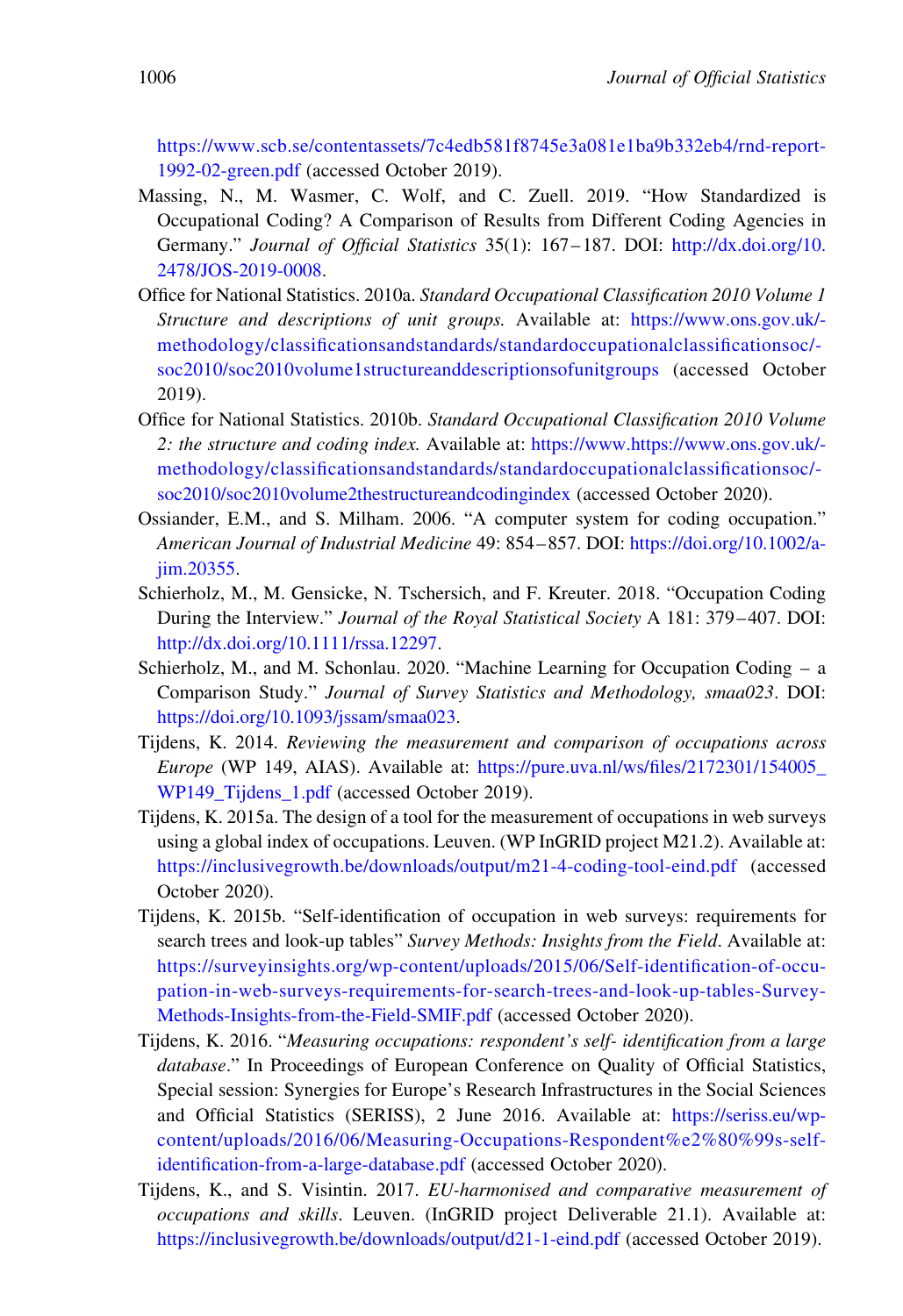<span id="page-25-0"></span>[https://www.scb.se/contentassets/7c4edb581f8745e3a081e1ba9b332eb4/rnd-report-](https://www.scb.se/contentassets/7c4edb581f8745e3a081e1ba9b332eb4/rnd-report-1992-02-green.pdf)[1992-02-green.pdf](https://www.scb.se/contentassets/7c4edb581f8745e3a081e1ba9b332eb4/rnd-report-1992-02-green.pdf) (accessed October 2019).

- Massing, N., M. Wasmer, C. Wolf, and C. Zuell. 2019. "How Standardized is Occupational Coding? A Comparison of Results from Different Coding Agencies in Germany." Journal of Official Statistics 35(1): 167–187. DOI: [http://dx.doi.org/10.](http://dx.doi.org/10.2478/JOS-2019-0008) [2478/JOS-2019-0008.](http://dx.doi.org/10.2478/JOS-2019-0008)
- Office for National Statistics. 2010a. Standard Occupational Classification 2010 Volume 1 Structure and descriptions of unit groups. Available at: [https://www.ons.gov.uk/](https://www.ons.gov.uk/methodology/classificationsandstandards/standardoccupationalclassificationsoc/soc2010/soc2010volume1structureanddescriptionsofunitgroups) [methodology/classificationsandstandards/standardoccupationalclassificationsoc/](https://www.ons.gov.uk/methodology/classificationsandstandards/standardoccupationalclassificationsoc/soc2010/soc2010volume1structureanddescriptionsofunitgroups) [soc2010/soc2010volume1structureanddescriptionsofunitgroups](https://www.ons.gov.uk/methodology/classificationsandstandards/standardoccupationalclassificationsoc/soc2010/soc2010volume1structureanddescriptionsofunitgroups) (accessed October 2019).
- Office for National Statistics. 2010b. Standard Occupational Classification 2010 Volume 2: the structure and coding index. Available at: [https://www.https://www.ons.gov.uk/](https://www.https://www.ons.gov.uk/methodology/classificationsandstandards/standardoccupationalclassificationsoc/soc2010/soc2010volume2thestructureandcodingindex) [methodology/classificationsandstandards/standardoccupationalclassificationsoc/](https://www.https://www.ons.gov.uk/methodology/classificationsandstandards/standardoccupationalclassificationsoc/soc2010/soc2010volume2thestructureandcodingindex) [soc2010/soc2010volume2thestructureandcodingindex](https://www.https://www.ons.gov.uk/methodology/classificationsandstandards/standardoccupationalclassificationsoc/soc2010/soc2010volume2thestructureandcodingindex) (accessed October 2020).
- Ossiander, E.M., and S. Milham. 2006. "A computer system for coding occupation." American Journal of Industrial Medicine 49: 854–857. DOI: [https://doi.org/10.1002/a](https://doi.org/10.1002/ajim.20355)[jim.20355.](https://doi.org/10.1002/ajim.20355)
- Schierholz, M., M. Gensicke, N. Tschersich, and F. Kreuter. 2018. "Occupation Coding During the Interview." Journal of the Royal Statistical Society A 181: 379–407. DOI: [http://dx.doi.org/10.1111/rssa.12297.](http://dx.doi.org/10.1111/rssa.12297)
- Schierholz, M., and M. Schonlau. 2020. "Machine Learning for Occupation Coding a Comparison Study." Journal of Survey Statistics and Methodology, smaa023. DOI: [https://doi.org/10.1093/jssam/smaa023.](https://doi.org/10.1093/jssam/smaa023)
- Tijdens, K. 2014. Reviewing the measurement and comparison of occupations across Europe (WP 149, AIAS). Available at: [https://pure.uva.nl/ws/files/2172301/154005\\_](https://pure.uva.nl/ws/files/2172301/154005_WP149_Tijdens_1.pdf) WP149 Tijdens 1.pdf (accessed October 2019).
- Tijdens, K. 2015a. The design of a tool for the measurement of occupations in web surveys using a global index of occupations. Leuven. (WP InGRID project M21.2). Available at: <https://inclusivegrowth.be/downloads/output/m21-4-coding-tool-eind.pdf> (accessed October 2020).
- Tijdens, K. 2015b. "Self-identification of occupation in web surveys: requirements for search trees and look-up tables" Survey Methods: Insights from the Field. Available at: [https://surveyinsights.org/wp-content/uploads/2015/06/Self-identification-of-occu](https://surveyinsights.org/wp-content/uploads/2015/06/Self-identification-of-occupation-in-web-surveys-requirements-for-search-trees-and-look-up-tables-Survey-Methods-Insights-from-the-Field-SMIF.pdf)[pation-in-web-surveys-requirements-for-search-trees-and-look-up-tables-Survey-](https://surveyinsights.org/wp-content/uploads/2015/06/Self-identification-of-occupation-in-web-surveys-requirements-for-search-trees-and-look-up-tables-Survey-Methods-Insights-from-the-Field-SMIF.pdf)[Methods-Insights-from-the-Field-SMIF.pdf](https://surveyinsights.org/wp-content/uploads/2015/06/Self-identification-of-occupation-in-web-surveys-requirements-for-search-trees-and-look-up-tables-Survey-Methods-Insights-from-the-Field-SMIF.pdf) (accessed October 2020).
- Tijdens, K. 2016. "Measuring occupations: respondent's self- identification from a large database." In Proceedings of European Conference on Quality of Official Statistics, Special session: Synergies for Europe's Research Infrastructures in the Social Sciences and Official Statistics (SERISS), 2 June 2016. Available at: [https://seriss.eu/wp](https://seriss.eu/wp-content/uploads/2016/06/Measuring-Occupations-Respondent%e2%80%99s-self-identification-from-a-large-database.pdf)[content/uploads/2016/06/Measuring-Occupations-Respondent%e2%80%99s-self](https://seriss.eu/wp-content/uploads/2016/06/Measuring-Occupations-Respondent%e2%80%99s-self-identification-from-a-large-database.pdf)[identification-from-a-large-database.pdf](https://seriss.eu/wp-content/uploads/2016/06/Measuring-Occupations-Respondent%e2%80%99s-self-identification-from-a-large-database.pdf) (accessed October 2020).
- Tijdens, K., and S. Visintin. 2017. EU-harmonised and comparative measurement of occupations and skills. Leuven. (InGRID project Deliverable 21.1). Available at: <https://inclusivegrowth.be/downloads/output/d21-1-eind.pdf> (accessed October 2019).